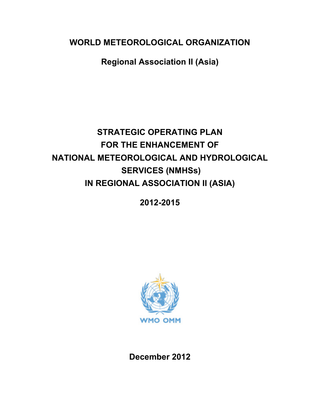**WORLD METEOROLOGICAL ORGANIZATION**

**Regional Association II (Asia)**

# **STRATEGIC OPERATING PLAN FOR THE ENHANCEMENT OF NATIONAL METEOROLOGICAL AND HYDROLOGICAL SERVICES (NMHSs) IN REGIONAL ASSOCIATION II (ASIA)**

**2012-2015**



**December 2012**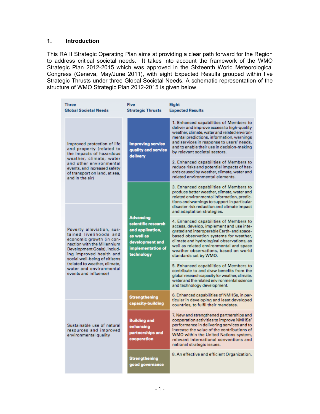#### **1. Introduction**

This RA II Strategic Operating Plan aims at providing a clear path forward for the Region to address critical societal needs. It takes into account the framework of the WMO Strategic Plan 2012-2015 which was approved in the Sixteenth World Meteorological Congress (Geneva, May/June 2011), with eight Expected Results grouped within five Strategic Thrusts under three Global Societal Needs. A schematic representation of the structure of WMO Strategic Plan 2012-2015 is given below.

| <b>Three</b><br><b>Global Societal Needs</b>                                                                                                                                                                                  | <b>Five</b><br><b>Strategic Thrusts</b>                                                                                         | Eight<br><b>Expected Results</b>                                                                                                                                                                                                                                                                                                                                                                                                                                                       |  |  |  |  |  |
|-------------------------------------------------------------------------------------------------------------------------------------------------------------------------------------------------------------------------------|---------------------------------------------------------------------------------------------------------------------------------|----------------------------------------------------------------------------------------------------------------------------------------------------------------------------------------------------------------------------------------------------------------------------------------------------------------------------------------------------------------------------------------------------------------------------------------------------------------------------------------|--|--|--|--|--|
| Improved protection of life<br>and property (related to<br>the impacts of hazardous<br>weather, climate, water<br>and other environmental<br>events, and increased safety<br>of transport on land, at sea,<br>and in the airl | <b>Improving service</b><br>quality and service<br>delivery                                                                     | 1. Enhanced capabilities of Members to<br>deliver and improve access to high-quality<br>weather, climate, water and related environ-<br>mental predictions, information, warnings<br>and services in response to users' needs,<br>and to enable their use in decision-making<br>by relevant societal sectors.<br>2. Enhanced capabilities of Members to<br>reduce risks and potential impacts of haz-<br>ards caused by weather, climate, water and<br>related environmental elements. |  |  |  |  |  |
|                                                                                                                                                                                                                               |                                                                                                                                 | 3. Enhanced capabilities of Members to<br>produce better weather, climate, water and<br>related environmental information, predic-<br>tions and warnings to support in particular<br>disaster risk reduction and climate impact<br>and adaptation strategies.                                                                                                                                                                                                                          |  |  |  |  |  |
| Poverty alleviation, sus-<br>tained livelihoods and<br>economic growth (in con-<br>nection with the Millennium<br>Development Goals), includ-<br>ing improved health and<br>social well-being of citizens                     | <b>Advancing</b><br>scientific research<br>and application,<br>as well as<br>development and<br>implementation of<br>technology | 4. Enhanced capabilities of Members to<br>access, develop, implement and use inte-<br>grated and interoperable Earth- and space-<br>based observation systems for weather,<br>climate and hydrological observations, as<br>well as related environmental and space<br>weather observations, based on world<br>standards set by WMO.                                                                                                                                                    |  |  |  |  |  |
| (related to weather, climate,<br>water and environmental<br>events and influence)                                                                                                                                             |                                                                                                                                 | 5. Enhanced capabilities of Members to<br>contribute to and draw benefits from the<br>global research capacity for weather, climate,<br>water and the related environmental science<br>and technology development.                                                                                                                                                                                                                                                                     |  |  |  |  |  |
|                                                                                                                                                                                                                               | <b>Strengthening</b><br>capacity-building                                                                                       | 6. Enhanced capabilities of NMHSs, in par-<br>ticular in developing and least developed<br>countries, to fulfil their mandates.                                                                                                                                                                                                                                                                                                                                                        |  |  |  |  |  |
| Sustainable use of natural<br>resources and improved<br>environmental quality                                                                                                                                                 | <b>Building and</b><br>enhancing<br>partnerships and<br>cooperation                                                             | 7. New and strengthened partnerships and<br>cooperation activities to improve NMHSs'<br>performance in delivering services and to<br>increase the value of the contributions of<br>WMO within the United Nations system,<br>relevant international conventions and<br>national strategic issues.                                                                                                                                                                                       |  |  |  |  |  |
|                                                                                                                                                                                                                               | <b>Strengthening</b><br>good governance                                                                                         | 8. An effective and efficient Organization.                                                                                                                                                                                                                                                                                                                                                                                                                                            |  |  |  |  |  |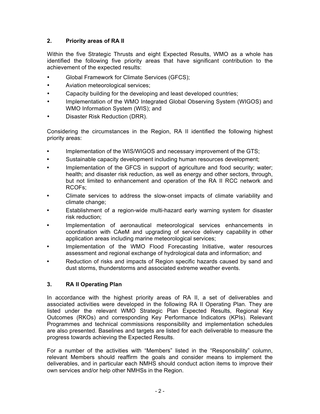#### **2. Priority areas of RA II**

Within the five Strategic Thrusts and eight Expected Results, WMO as a whole has identified the following five priority areas that have significant contribution to the achievement of the expected results:

- Global Framework for Climate Services (GFCS);
- Aviation meteorological services;
- Capacity building for the developing and least developed countries;
- Implementation of the WMO Integrated Global Observing System (WIGOS) and WMO Information System (WIS); and
- Disaster Risk Reduction (DRR).

Considering the circumstances in the Region, RA II identified the following highest priority areas:

- **•** Implementation of the WIS/WIGOS and necessary improvement of the GTS;
- **•** Sustainable capacity development including human resources development;
- **•** Implementation of the GFCS in support of agriculture and food security; water; health; and disaster risk reduction, as well as energy and other sectors, through, but not limited to enhancement and operation of the RA II RCC network and RCOFs;
- Climate services to address the slow-onset impacts of climate variability and climate change;
- **•** Establishment of a region-wide multi-hazard early warning system for disaster risk reduction;
- **•** Implementation of aeronautical meteorological services enhancements in coordination with CAeM and upgrading of service delivery capability in other application areas including marine meteorological services;
- **•** Implementation of the WMO Flood Forecasting Initiative, water resources assessment and regional exchange of hydrological data and information; and
- **•** Reduction of risks and impacts of Region specific hazards caused by sand and dust storms, thunderstorms and associated extreme weather events.

#### **3. RA II Operating Plan**

In accordance with the highest priority areas of RA II, a set of deliverables and associated activities were developed in the following RA II Operating Plan. They are listed under the relevant WMO Strategic Plan Expected Results, Regional Key Outcomes (RKOs) and corresponding Key Performance Indicators (KPIs). Relevant Programmes and technical commissions responsibility and implementation schedules are also presented. Baselines and targets are listed for each deliverable to measure the progress towards achieving the Expected Results.

For a number of the activities with "Members" listed in the "Responsibility" column, relevant Members should reaffirm the goals and consider means to implement the deliverables, and in particular each NMHS should conduct action items to improve their own services and/or help other NMHSs in the Region.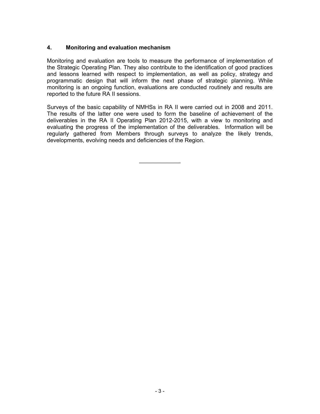#### **4. Monitoring and evaluation mechanism**

Monitoring and evaluation are tools to measure the performance of implementation of the Strategic Operating Plan. They also contribute to the identification of good practices and lessons learned with respect to implementation, as well as policy, strategy and programmatic design that will inform the next phase of strategic planning. While monitoring is an ongoing function, evaluations are conducted routinely and results are reported to the future RA II sessions.

Surveys of the basic capability of NMHSs in RA II were carried out in 2008 and 2011. The results of the latter one were used to form the baseline of achievement of the deliverables in the RA II Operating Plan 2012-2015, with a view to monitoring and evaluating the progress of the implementation of the deliverables. Information will be regularly gathered from Members through surveys to analyze the likely trends, developments, evolving needs and deficiencies of the Region.

 $\mathcal{L}_\text{max}$  , where  $\mathcal{L}_\text{max}$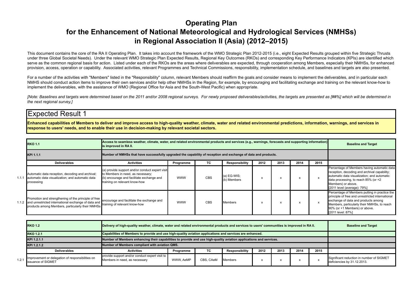#### **Operating Plan for the Enhancement of National Meteorological and Hydrological Services (NMHSs) in Regional Association II (Asia) (2012–2015)**

This document contains the core of the RA II Operating Plan. It takes into account the framework of the WMO Strategic Plan 2012-2015 (i.e., eight Expected Results grouped within five Strategic Thrusts under three Global Societal Needs). Under the relevant WMO Strategic Plan Expected Results, Regional Key Outcomes (RKOs) and corresponding Key Performance Indicators (KPIs) are identified which serve as the common regional basis for action. Listed under each of the RKOs are the areas where deliverables are expected, through cooperation among Members, especially their NMHSs, for enhanced provision, access, operation or capability. Associated activities, relevant Programmes and Technical Commissions, responsibility, implementation schedule, and baselines and targets are also presented.

For a number of the activities with "Members" listed in the "Responsibility" column, relevant Members should reaffirm the goals and consider means to implement the deliverables, and in particular each NMHS should conduct action items to improve their own services and/or help other NMHSs in the Region, for example, by encouraging and facilitating exchange and training on the relevant know-how to implement the deliverables, with the assistance of WMO (Regional Office for Asia and the South-West Pacific) when appropriate.

*[Note: Baselines and targets were determined based on the 2011 and/or 2008 regional surveys. For newly proposed deliverables/activities, the targets are presented as [##%] which will be determined in the next regional survey.]*

#### Expected Result 1

**Enhanced capabilities of Members to deliver and improve access to high-quality weather, climate, water and related environmental predictions, information, warnings, and services in response to users' needs, and to enable their use in decision-making by relevant societal sectors.**

|       | <b>RKO 1.1</b>                                                                                                                                                        | is improved in RA II.                                                                                                                                              | Access to seamless weather, climate, water, and related environmental products and services (e.g., warnings, forecasts and supporting information) |     |                            |      |      |      |      |                                                                                                                                                                                                                                               |  |  |
|-------|-----------------------------------------------------------------------------------------------------------------------------------------------------------------------|--------------------------------------------------------------------------------------------------------------------------------------------------------------------|----------------------------------------------------------------------------------------------------------------------------------------------------|-----|----------------------------|------|------|------|------|-----------------------------------------------------------------------------------------------------------------------------------------------------------------------------------------------------------------------------------------------|--|--|
|       | Number of NMHSs that have successfully upgraded the capability of reception and exchange of data and products.<br>KPI 1.1.1                                           |                                                                                                                                                                    |                                                                                                                                                    |     |                            |      |      |      |      |                                                                                                                                                                                                                                               |  |  |
|       | <b>Deliverables</b>                                                                                                                                                   | <b>Activities</b>                                                                                                                                                  | Programme                                                                                                                                          | ТC  | Responsibility             | 2012 | 2013 | 2014 | 2015 |                                                                                                                                                                                                                                               |  |  |
| 1.1.1 | Automatic data reception, decoding and archival;<br>automatic data visualization; and automatic data<br>processing                                                    | (a) provide support and/or conduct expert visit<br>to Members in need, as necessary;<br>(b) encourage and facilitate exchange and<br>training on relevant know-how | <b>WWW</b>                                                                                                                                         | CBS | (a) EG-WIS;<br>(b) Members |      |      |      |      | Percentage of Members having automatic data<br>reception, decoding and archival capability;<br>automatic data visualization; and automatic<br>data processing, to reach 85% (or +2<br>Members) or above.<br>[2011 level (average): 79%]       |  |  |
|       | Promotion and strengthening of the principle of free<br>1.1.2 and unrestricted international exchange of data and<br>products among Members, particularly their NMHSs | encourage and facilitate the exchange and<br>training of relevant know-how                                                                                         | <b>WWW</b>                                                                                                                                         | CBS | <b>Members</b>             |      |      |      |      | Percentage of Members putting in practice the<br>principle of free and unrestricted international<br>exchange of data and products among<br>Members, particularly their NMHSs, to reach<br>90% (or +1 Members) or above.<br>[2011 level: 87%] |  |  |

|       | <b>RKO 1.2</b>                                                         | Delivery of high-quality weather, climate, water and related environmental products and services to users' communities is improved in RA II. |                                                                                                          |           |                |      |      |      |      | <b>Baseline and Target</b>                                               |
|-------|------------------------------------------------------------------------|----------------------------------------------------------------------------------------------------------------------------------------------|----------------------------------------------------------------------------------------------------------|-----------|----------------|------|------|------|------|--------------------------------------------------------------------------|
|       | <b>RKO 1.2.1</b>                                                       |                                                                                                                                              | Capabilities of Members to provide and use high-quality aviation applications and services are enhanced. |           |                |      |      |      |      |                                                                          |
|       | KPI 1.2.1.1                                                            | Number of Members enhancing their capabilities to provide and use high-quality aviation applications and services.                           |                                                                                                          |           |                |      |      |      |      |                                                                          |
|       | KPI 1.2.1.2                                                            | Number of Members compliant with aviation QMS.                                                                                               |                                                                                                          |           |                |      |      |      |      |                                                                          |
|       | <b>Deliverables</b>                                                    | <b>Activities</b>                                                                                                                            | Programme                                                                                                | TC        | Responsibility | 2012 | 2013 | 2014 | 2015 |                                                                          |
| 1.2.1 | Improvement or delegation of responsibilities on<br>issuance of SIGMET | provide support and/or conduct expert visit to<br>Members in need, as necessary                                                              | WWW. AeMP                                                                                                | CBS, CAeM | Members        |      |      |      |      | Significant reduction in number of SIGMET<br>deficiencies by 31.12.2013. |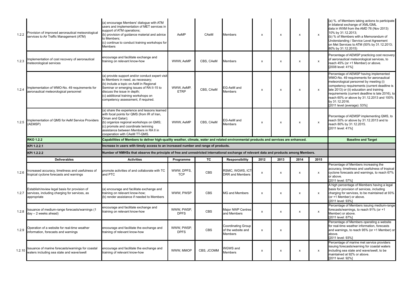| 1.2.2 | Provision of improved aeronautical meteorological<br>services to Air Traffic Management (ATM)                       | (a) encourage Members' dialogue with ATM<br>users and implementation of MET services in<br>support of ATM operations;<br>(b) provision of guidance material and advice<br>to Members;<br>(c) continue to conduct training workshops for<br>Members                                        | AeMP                      | CAeM       | <b>Members</b>                                             | $\pmb{\times}$            | X                         | x    | $\boldsymbol{\mathsf{x}}$ | (a) %. of Members taking actions to participate<br>in bilateral exchange of XML/GML<br>data in WXM from the AMD 76 (Nov 2013)<br>10% by 31.12.2013;<br>(b) % of Members with a Memorandum of<br>Understanding / Service Level Agreement<br>on Met Services to ATM (50% by 31.12.2013;<br>80% by 31.12.2015)                                                                  |
|-------|---------------------------------------------------------------------------------------------------------------------|-------------------------------------------------------------------------------------------------------------------------------------------------------------------------------------------------------------------------------------------------------------------------------------------|---------------------------|------------|------------------------------------------------------------|---------------------------|---------------------------|------|---------------------------|------------------------------------------------------------------------------------------------------------------------------------------------------------------------------------------------------------------------------------------------------------------------------------------------------------------------------------------------------------------------------|
| 1.2.3 | mplementation of cost recovery of aeronautical<br>meteorological services                                           | encourage and facilitate exchange and<br>training on relevant know-how                                                                                                                                                                                                                    | WWW, AeMP                 | CBS, CAeM  | Members                                                    | $\pmb{\times}$            | X                         | x    | x                         | Percentage of AEMSP practicing cost recovery<br>of aeronautical meteorological services, to<br>reach 45% (or +1 Member) or above.<br>[2008 level: 41%]                                                                                                                                                                                                                       |
| 1.2.4 | mplementation of WMO-No. 49 requirements for<br>aeronautical meteorological personnel                               | (a) provide support and/or conduct expert visit<br>to Members in need, as necessary;<br>(b) include a topic on AeM in Regional<br>Seminar or emerging issues of RA II-15 to<br>discuss the issue in depth;<br>(c) additional training workshops on<br>competency assessment, if required. | WWW, AeMP,<br><b>ETRP</b> | CBS. CAeM  | EG-AeM and<br>Members                                      | $\pmb{\times}$            | X                         | x    | $\boldsymbol{\mathsf{x}}$ | Percentage of AEMSP having implemented<br>WMO-No. 49 requirements for aeronautical<br>meteorological personnel by meeting (i)<br>competency requirements (current deadline is<br>late 2013) or (ii) education and training<br>requirements (current deadline is late 2016), to<br>reach 60% or above by 31.12.2013 and 100%<br>by 31.12.2016.<br>[2011 level (average): 53%] |
| 1.2.5 | mplementation of QMS for AeM Service Providers<br>(AEMSP)                                                           | (a) share the experience and lessons learned<br>with focal points for QMS (from IR of Iran,<br>Oman and Qatar);<br>(b) organize regional workshops on QMS;<br>(c) promote and coordinate twinning<br>assistance between Members in RA II in<br>cooperation with CAeM TT-QMS.              | WWW, AeMP                 | CBS, CAeM  | EG-AeM and<br>Members                                      | X                         | $\boldsymbol{\mathsf{x}}$ | X    | x                         | Percentage of AEMSP implementing QMS, to<br>reach 50% or above by 31.12.2013 and to<br>reach 80% by 31.12.2015.<br>[2011 level: 41%]                                                                                                                                                                                                                                         |
|       | <b>RKO 1.2.2</b>                                                                                                    | Capabilities of Members to deliver high-quality weather, climate, water and related environmental products and services are enhanced.                                                                                                                                                     |                           |            |                                                            |                           |                           |      |                           | <b>Baseline and Target</b>                                                                                                                                                                                                                                                                                                                                                   |
|       | KPI 1.2.2.1                                                                                                         | Increase in users with timely access to an increased number and range of products.                                                                                                                                                                                                        |                           |            |                                                            |                           |                           |      |                           |                                                                                                                                                                                                                                                                                                                                                                              |
|       | KPI 1.2.2.2                                                                                                         | Number of NMHSs that observe the principle of free and unrestricted international exchange of relevant data and products among Members.                                                                                                                                                   |                           |            |                                                            |                           |                           |      |                           |                                                                                                                                                                                                                                                                                                                                                                              |
|       | <b>Deliverables</b>                                                                                                 | <b>Activities</b>                                                                                                                                                                                                                                                                         | Programme                 | TC         |                                                            | 2012                      |                           | 2014 |                           |                                                                                                                                                                                                                                                                                                                                                                              |
| 1.2.6 |                                                                                                                     |                                                                                                                                                                                                                                                                                           |                           |            | <b>Responsibility</b>                                      |                           | 2013                      |      | 2015                      |                                                                                                                                                                                                                                                                                                                                                                              |
|       | ncreased accuracy, timeliness and usefulness of<br>tropical cyclone forecasts and warnings                          | promote activities of and collaborate with TC<br>and PTC                                                                                                                                                                                                                                  | WWW. DPFS.<br><b>TCP</b>  | <b>CBS</b> | RSMC, WGWS, ICT<br><b>DRR</b> and Members                  | $\pmb{\times}$            | X                         | х    | x                         | Percentage of Members increasing the<br>accuracy, timeliness and usefulness of tropical<br>cyclone forecasts and warnings, to reach 67%<br>or above.<br>[2011 level: 57%]                                                                                                                                                                                                    |
|       | Establish/review legal basis for provision of<br>1.2.7 services, including charging for services, as<br>appropriate | (a) encourage and facilitate exchange and<br>training on relevant know-how;<br>(b) render assistance if needed to Members                                                                                                                                                                 | WWW, PWSP                 | CBS        | <b>MG and Members</b>                                      | $\boldsymbol{\mathsf{x}}$ | $\pmb{\chi}$              | х    | $\boldsymbol{\mathsf{x}}$ | A high percentage of Members having a legal<br>basis for provision of services, including<br>charging for services, to be maintained at 93%<br>(or +1 Member) or above.<br>[2011 level: 93%]                                                                                                                                                                                 |
| 1.2.8 | Issuance of medium-range forecasts/warnings (1<br>$day - 2$ weeks ahead)                                            | encourage and facilitate exchange and<br>training on relevant know-how                                                                                                                                                                                                                    | WWW. PWSP.<br><b>DPFS</b> | <b>CBS</b> | Major NWP Centres<br>and Members                           | $\pmb{\chi}$              | $\pmb{\chi}$              | x    | x                         | Percentage of Members issuing medium-range<br>forecasts/warnings, to reach 91% (or +1<br>Member) or above.<br>[2011 level: 87%]                                                                                                                                                                                                                                              |
| 1.2.9 | Operation of a website for real-time weather<br>information, forecasts and warnings                                 | encourage and facilitate the exchange and<br>training of relevant know-how                                                                                                                                                                                                                | WWW. PWSP.<br><b>DPFS</b> | <b>CBS</b> | <b>Coordinating Group</b><br>of the website and<br>Members | $\pmb{\chi}$              | $\pmb{\chi}$              |      |                           | Percentage of Members operating a website<br>for real-time weather information, forecasts<br>and warnings, to reach 95% (or +1 Member) or<br>above.<br>[2011 level: 93%]<br>Percentage of marine met service providers                                                                                                                                                       |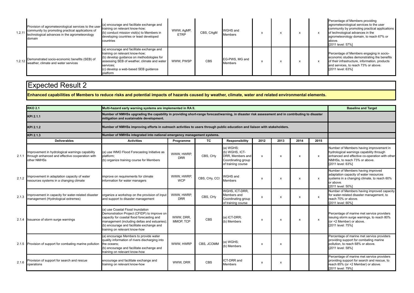| 1.2.11 | Provision of agrometeorological services to the user<br>community by promoting practical applications of<br>technological advances in the agrometeorology<br>domain | (a) encourage and facilitate exchange and<br>training on relevant know-how;<br>(b) conduct mission visit(s) to Members in<br>developing countries or least developed<br>countries                                                        | WWW, AgMP,<br><b>ETRP</b> | CBS, CAqM | <b>WGHS</b> and<br><b>Members</b> |  | $\lambda$ | Percentage of Members providing<br>agrometeorological services to the user<br>community by promoting practical applications<br>of technological advances in the<br>agrometeorology domain, to reach 67% or<br>labove.<br>[2011 level: 57%] |
|--------|---------------------------------------------------------------------------------------------------------------------------------------------------------------------|------------------------------------------------------------------------------------------------------------------------------------------------------------------------------------------------------------------------------------------|---------------------------|-----------|-----------------------------------|--|-----------|--------------------------------------------------------------------------------------------------------------------------------------------------------------------------------------------------------------------------------------------|
| 1.2.12 | Demonstrated socio-economic benefits (SEB) of<br>weather, climate and water services                                                                                | (a) encourage and facilitate exchange and<br>training on relevant know-how;<br>(b) develop quidance on methodologies for<br>assessing SEB of weather, climate and water<br>services:<br>(c) develop a web-based SEB quidance<br>platform | WWW. PWSP                 | CBS       | EG-PWS, MG and<br><b>Members</b>  |  | ᄎ         | Percentage of Members engaging in socio-<br>economic studies demonstrating the benefits<br>of their infrastructure, information, products<br>and services, to reach 73% or above.<br>[2011 level: 63%]                                     |

**Enhanced capabilities of Members to reduce risks and potential impacts of hazards caused by weather, climate, water and related environmental elements.**

|       | <b>RKO 2.1</b>                                                                                                    | Multi-hazard early warning systems are implemented in RA II.                                                                                                                                                                                                |                          |               |                                                                                             |                           |                           |                           |                           | <b>Baseline and Target</b>                                                                                                                                                                  |
|-------|-------------------------------------------------------------------------------------------------------------------|-------------------------------------------------------------------------------------------------------------------------------------------------------------------------------------------------------------------------------------------------------------|--------------------------|---------------|---------------------------------------------------------------------------------------------|---------------------------|---------------------------|---------------------------|---------------------------|---------------------------------------------------------------------------------------------------------------------------------------------------------------------------------------------|
|       | KPI 2.1.1                                                                                                         | Number of NMHSs upgrading the capability in providing short-range forecast/warning, in disaster risk assessment and in contributing to disaster<br>mitigation and sustainable development.                                                                  |                          |               |                                                                                             |                           |                           |                           |                           |                                                                                                                                                                                             |
|       | KPI 2.1.2                                                                                                         | Number of NMHSs improving efforts in outreach activities to users through public education and liaison with stakeholders.                                                                                                                                   |                          |               |                                                                                             |                           |                           |                           |                           |                                                                                                                                                                                             |
|       | KPI 2.1.3                                                                                                         | Number of NMHSs integrated into national emergency management systems.                                                                                                                                                                                      |                          |               |                                                                                             |                           |                           |                           |                           |                                                                                                                                                                                             |
|       | <b>Deliverables</b>                                                                                               | <b>Activities</b>                                                                                                                                                                                                                                           | Programme                | TC            | <b>Responsibility</b>                                                                       | 2012                      | 2013                      | 2014                      | 2015                      |                                                                                                                                                                                             |
| 2.1.1 | Improvement in hydrological warnings capability<br>through enhanced and effective cooperation with<br>other NMHSs | (a) use WMO Flood Forecasting Initiative as<br>platform;<br>(b) organize training course for Members                                                                                                                                                        | WWW. HWRP.<br><b>DRR</b> | CBS, CHy      | (a) WGHS;<br>(b) WGHS, ICT-<br>DRR, Members and<br>Coordinating group<br>of training course | $\boldsymbol{\mathsf{x}}$ | X                         | X                         | $\boldsymbol{\mathsf{x}}$ | Number of Members having improvement in<br>hydrological warnings capability through<br>enhanced and effective co-operation with other<br>NMHSs, to reach 73% or above.<br>[2011 level: 63%] |
| 2.1.2 | Improvement in adaptation capacity of water<br>resources systems in a changing climate                            | improve on requirements for climate<br>information for water managers                                                                                                                                                                                       | WWW, HWRP,<br><b>WCP</b> | CBS, CHy, CCI | <b>WGHS and</b><br><b>Members</b>                                                           | X                         | $\boldsymbol{\mathsf{x}}$ | x                         | $\boldsymbol{\mathsf{x}}$ | Number of Members having improved<br>adaptation capacity of water resources<br>systems in a changing climate, to reach 60%<br>or above.<br>[2011 level: 50%]                                |
| 2.1.3 | mprovement in capacity for water-related disaster<br>management (Hydrological extremes)                           | organize a workshop on the provision of input<br>and support to disaster management                                                                                                                                                                         | WWW. HWRP.<br><b>DRR</b> | CBS. CHV      | WGHS, ICT-DRR,<br>Members and<br>Coordinating group<br>of training course                   | $\boldsymbol{\mathsf{x}}$ | $\boldsymbol{\mathsf{x}}$ | $\boldsymbol{\mathsf{x}}$ | $\boldsymbol{\mathsf{x}}$ | Number of Members having improved capacity<br>for water-related disaster management, to<br>reach 70% or above.<br>[2011 level: 60%]                                                         |
|       | 2.1.4 Issuance of storm surge warnings                                                                            | (a) use Coastal Flood Inundation<br>Demonstration Project (CFIDP) to improve on<br>capacity for coastal flood forecasting and<br>management (including deltas and estuaries);<br>(b) encourage and facilitate exchange and<br>training on relevant know-how | WWW. DRR.<br>MMOP, TCP   | <b>CBS</b>    | (a) ICT-DRR;<br>(b) Members                                                                 | $\boldsymbol{\mathsf{x}}$ | $\boldsymbol{\mathsf{x}}$ | X                         | $\boldsymbol{\mathsf{x}}$ | Percentage of marine met service providers<br>issuing storm surge warnings, to reach 80%<br>(or +2 Member) or above.<br>[2011 level: 75%]                                                   |
|       | 2.1.5 Provision of support for combating marine pollution                                                         | (a) encourage Members to provide water<br>quality information of rivers discharging into<br>the oceans:<br>(b) encourage and facilitate exchange and<br>training on relevant know-how                                                                       | WWW, HWRP                | CBS, JCOMM    | (a) WGHS:<br>(b) Members                                                                    | X                         | $\boldsymbol{\mathsf{x}}$ |                           |                           | Percentage of marine met service providers<br>providing support for combating marine<br>pollution, to reach 68% or above.<br>[2011 level: 58%]                                              |
| 2.1.6 | Provision of support for search and rescue<br>operations                                                          | encourage and facilitate exchange and<br>training on relevant know-how                                                                                                                                                                                      | WWW, DRR                 | CBS           | <b>ICT-DRR</b> and<br><b>Members</b>                                                        | X                         | $\boldsymbol{\mathsf{x}}$ |                           |                           | Percentage of marine met service providers<br>providing support for search and rescue, to<br>reach 85% (or +2 Member) or above.<br>[2011 level: 79%]                                        |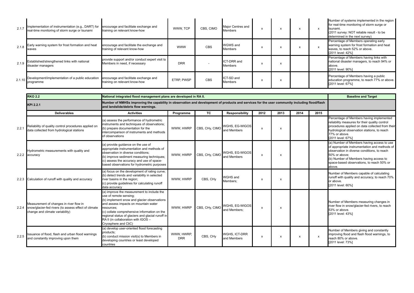| 2.1.7  | Implementation of instrumentation (e.g., DART) for<br>real-time monitoring of storm surge or tsunami | encourage and facilitate exchange and<br>training on relevant know-how          | WWW. TCP   | CBS. CIMO  | Major Centres and<br>Members |  | $\lambda$ | Number of systems implemented in the region<br>for real-time monitoring of storm surge or<br>tsunami.<br>(2011 survey: NOT reliable result - to be<br>determined in the next survey) |
|--------|------------------------------------------------------------------------------------------------------|---------------------------------------------------------------------------------|------------|------------|------------------------------|--|-----------|--------------------------------------------------------------------------------------------------------------------------------------------------------------------------------------|
| 2.1.8  | Early warning system for frost formation and heat<br>waves                                           | encourage and facilitate the exchange and<br>training of relevant know-how      | <b>WWW</b> | <b>CBS</b> | WGWS and<br><b>Members</b>   |  | $\lambda$ | Percentage of Members operating early<br>warning system for frost formation and heat<br>waves, to reach 52% or above.<br>[2011 level: 42%]                                           |
| 2.1.9  | Established/strengthened links with national<br>disaster managers                                    | provide support and/or conduct expert visit to<br>Members in need, if necessary | <b>DRR</b> |            | ICT-DRR and<br>Members       |  |           | Percentage of Members having links with<br>national disaster managers, to reach 94% or<br>above.<br>[2011 level: 90%]                                                                |
| 2.1.10 | Development/implementation of a public education<br>programme                                        | encourage and facilitate exchange and<br>training on relevant know-how          | ETRP. PWSP | <b>CBS</b> | ICT-SD and<br>Members        |  |           | Percentage of Members having a public<br>education programme, to reach 77% or above.<br>[2011 level: 67%]                                                                            |

|       | <b>RKO 2.2</b><br>National integrated flood management plans are developed in RA II.                                                     |                                                                                                                                                                                                                                                                                                                                               |                          |                      |                                |                           |      |      | <b>Baseline and Target</b> |                                                                                                                                                                                                                                                              |
|-------|------------------------------------------------------------------------------------------------------------------------------------------|-----------------------------------------------------------------------------------------------------------------------------------------------------------------------------------------------------------------------------------------------------------------------------------------------------------------------------------------------|--------------------------|----------------------|--------------------------------|---------------------------|------|------|----------------------------|--------------------------------------------------------------------------------------------------------------------------------------------------------------------------------------------------------------------------------------------------------------|
|       | KPI 2.2.1                                                                                                                                | Number of NMHSs improving the capability in observation and development of products and services for the user community including flood/flash<br>and landslide/debris flow warnings.                                                                                                                                                          |                          |                      |                                |                           |      |      |                            |                                                                                                                                                                                                                                                              |
|       | <b>Deliverables</b>                                                                                                                      | <b>Activities</b>                                                                                                                                                                                                                                                                                                                             | Programme                | TC                   | <b>Responsibility</b>          | 2012                      | 2013 | 2014 | 2015                       |                                                                                                                                                                                                                                                              |
| 2.2.  | Reliability of quality control procedures applied on<br>data collected from hydrological stations                                        | (a) assess the performance of hydrometric<br>instruments and techniques of observations;<br>(b) prepare documentation for the<br>intercomparison of instruments and methods<br>of observations                                                                                                                                                | WWW, HWRP                | CBS, CHy, CIMO       | WGHS, EG-WIGOS<br>and Members  | $\boldsymbol{\mathsf{x}}$ | X    |      |                            | Percentage of Members having implemented<br>reliability measures for their quality control<br>procedures applied on data collected from their<br>hydrological observation stations, to reach<br>77% or above.<br>[2011 level: 67%]                           |
|       | Hydrometric measurements with quality and<br>2.2.2 accuracy                                                                              | (a) provide guidance on the use of<br>appropriate instrumentation and methods of<br>observation in diverse conditions:<br>(b) improve sediment measuring techniques;<br>(c) assess the accuracy and use of space-<br>based observations for hydrometric purposes                                                                              | WWW. HWRP                | CBS, CHy, CIMC       | WGHS, EG-WIGOS<br>and Members  | $\boldsymbol{\mathsf{x}}$ | X    |      |                            | (a) Number of Members having access to use<br>of appropriate instrumentation and methods of<br>observation in diverse conditions, to reach<br>50% or above:<br>(b) Number of Members having access to<br>space-based observations, to reach 50% or<br>above. |
|       | 2.2.3 Calculation of runoff with quality and accuracy                                                                                    | (a) focus on the development of rating curve;<br>(b) detect trends and variability in selected<br>river basins in the region;<br>(c) provide guidelines for calculating runoff<br>data accuracy                                                                                                                                               | WWW. HWRP                | CBS, CH <sub>V</sub> | WGHS and<br>Members:           | X                         | X    |      |                            | Number of Members capable of calculating<br>runoff with quality and accuracy, to reach 70%<br>or above.<br>[2011 level: 60%]                                                                                                                                 |
|       | Measurement of changes in river flow in<br>2.2.4 snow/glacier-fed rivers (to assess effect of climate<br>change and climate variability) | (a) improve the measurement to include the<br>use of remote sensing;<br>(b) implement snow and glacier observations<br>and assess impacts on mountain water<br>resources:<br>(c) collate comprehensive information on the<br>regional status of glaciers and glacial runoff in<br>RA II (in collaboration with IGOS -<br>Cryosphere and CliC) | WWW. HWRP                | CBS, CHy, CIMC       | WGHS, EG-WIGOS<br>and Members: | x                         | X    |      |                            | Number of Members measuring changes in<br>river flow in snow/glacier-fed rivers, to reach<br>53% or above.<br>[2011 level: 43%]                                                                                                                              |
| 2.2.5 | Issuance of flood, flash and urban flood warnings<br>and constantly improving upon them                                                  | (a) develop user-oriented flood forecasting<br>products:<br>(b) conduct mission visit(s) to Members in<br>developing countries or least developed<br>countries                                                                                                                                                                                | WWW. HWRP.<br><b>DRR</b> | CBS, CH <sub>V</sub> | WGHS, ICT-DRR<br>and Members   | x                         | x    | X    | $\boldsymbol{\mathsf{x}}$  | Number of Members giving and constantly<br>improving flood and flash flood warnings, to<br>reach 80% or above.<br>[2011 level: 73%]                                                                                                                          |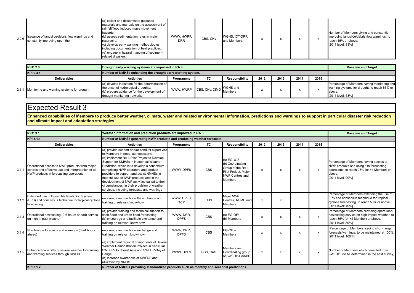| 2.2.6 | Issuance of landslide/debris flow warnings and<br>constantly improving upon them | (a) collect and disseminate quidance<br>materials and manuals on the assessment of<br>rainfall/flood induced mass movement<br>hazards;<br>(b) assess sedimentation rates in major<br>reservoirs:<br>(c) develop early warning methodologies<br>including documentation of best practices;<br>(d) engage in hazard mapping of sediment-<br>related disasters | WWW. HWRP.<br><b>DRR</b> | CBS, CH <sub>V</sub> | WGHS, ICT-DRR<br>and Members; |  |  |  |  | Number of Members giving and constantly<br>improving landslide/debris flow warnings, to<br>reach 45% or above.<br>[2011 level: 33%] |
|-------|----------------------------------------------------------------------------------|-------------------------------------------------------------------------------------------------------------------------------------------------------------------------------------------------------------------------------------------------------------------------------------------------------------------------------------------------------------|--------------------------|----------------------|-------------------------------|--|--|--|--|-------------------------------------------------------------------------------------------------------------------------------------|
|-------|----------------------------------------------------------------------------------|-------------------------------------------------------------------------------------------------------------------------------------------------------------------------------------------------------------------------------------------------------------------------------------------------------------------------------------------------------------|--------------------------|----------------------|-------------------------------|--|--|--|--|-------------------------------------------------------------------------------------------------------------------------------------|

| <b>RKO 2.3</b>                                                           | Drought early warning systems are improved in RA II.                                                                                                                 |           |                                  |                 |      |      |      |      | <b>Baseline and Target</b>                                                                                                 |
|--------------------------------------------------------------------------|----------------------------------------------------------------------------------------------------------------------------------------------------------------------|-----------|----------------------------------|-----------------|------|------|------|------|----------------------------------------------------------------------------------------------------------------------------|
| Number of NMHSs enhancing the drought early warning system.<br>KPI 2.3.1 |                                                                                                                                                                      |           |                                  |                 |      |      |      |      |                                                                                                                            |
| <b>Deliverables</b>                                                      | <b>Activities</b>                                                                                                                                                    | Programme | TC.                              | Responsibility  | 2012 | 2013 | 2014 | 2015 |                                                                                                                            |
| 2.3.1 Monitoring and warning systems for drought                         | (a) develop indicators for the determination of<br>the onset of hydrological droughts;<br>(b) prepare guidance for the development of<br>drought monitoring networks |           | WWW, HWRP CBS, CHy, CIMO Members | <b>WGHS and</b> |      |      |      |      | Percentage of Members having monitoring and<br>warning systems for drought, to reach 63% or<br>above.<br>[2011 level: 53%] |

**Enhanced capabilities of Members to produce better weather, climate, water and related environmental information, predictions and warnings to support in particular disaster risk reduction and climate impact and adaptation strategies.**

|       | <b>RKO 3.1</b>                                                                                                                                 | Weather information and prediction products are improved in RA II.                                                                                                                                                                                                                                                                                                                                                                                                                                             |                          |            |                                                                                                                           |                           |                           |      |                           | <b>Baseline and Target</b>                                                                                                                                      |
|-------|------------------------------------------------------------------------------------------------------------------------------------------------|----------------------------------------------------------------------------------------------------------------------------------------------------------------------------------------------------------------------------------------------------------------------------------------------------------------------------------------------------------------------------------------------------------------------------------------------------------------------------------------------------------------|--------------------------|------------|---------------------------------------------------------------------------------------------------------------------------|---------------------------|---------------------------|------|---------------------------|-----------------------------------------------------------------------------------------------------------------------------------------------------------------|
|       | KPI 3.1.1                                                                                                                                      | Number of NMHSs generating NWP products and producing weather forecasts.                                                                                                                                                                                                                                                                                                                                                                                                                                       |                          |            |                                                                                                                           |                           |                           |      |                           |                                                                                                                                                                 |
|       | <b>Deliverables</b>                                                                                                                            | <b>Activities</b>                                                                                                                                                                                                                                                                                                                                                                                                                                                                                              | Programme                | <b>TC</b>  | Responsibility                                                                                                            | 2012                      | 2013                      | 2014 | 2015                      |                                                                                                                                                                 |
| 3.1.1 | Operational access to NWP products from major<br>centres and effective use and interpretation of all<br>NWP products in forecasting operations | (a) provide support and/or conduct expert visit<br>to Members in need, as necessary;<br>(b) implement RA II Pilot Project to Develop<br>Support for NMHSs in Numerical Weather<br>Prediction, which is to develop a consortium<br>comprising NWP operators and product<br>providers to support and assist NMHSs in<br>their full use of NWP products and in the<br>development of NWP activities suited to their<br>circumstances, in their provision of weather<br>services, including forecasts and warnings | WWW. DPFS                | <b>CBS</b> | (a) EG-WIS;<br>(b) Coordinating<br>Group of the RA II<br>Pilot Project, Major<br><b>NWP Centres and</b><br><b>Members</b> | x                         | x                         | x    | x                         | Percentage of Members having access to<br>NWP products and using it in forecasting<br>operations, to reach 93% (or +1 Member) or<br>above.<br>[2011 level: 90%] |
|       | Extended use of Ensemble Prediction System<br>3.1.2 (EPS) and consensus technique for tropical cyclone<br>forecasting                          | encourage and facilitate the exchange and<br>training of relevant know-how                                                                                                                                                                                                                                                                                                                                                                                                                                     | WWW, DPFS,<br><b>TCP</b> | <b>CBS</b> | Major NWP<br>Centres, RSMC and<br><b>Members</b>                                                                          | $\boldsymbol{\mathsf{x}}$ | X                         |      |                           | Percentage of Members extending the use of<br>EPS and consensus technique for tropical<br>cyclone forecasting, to reach 50% or above.<br>[2011 level: 40%]      |
| 3.1.3 | Operational nowcasting (0-6 hours ahead) service<br>on high-impact weather                                                                     | (a) provide training and technical support to<br>flash flood and urban flood forecasting;<br>(b) encourage and facilitate exchange and<br>training on relevant know-how                                                                                                                                                                                                                                                                                                                                        | WWW. DRR.<br><b>DPFS</b> | CBS        | (a) $EG-OF$ ;<br>(b) Members                                                                                              | X                         | X                         |      | $\boldsymbol{\mathsf{x}}$ | Percentage of Members providing operational<br>nowcasting service on high-impact weather, to<br>reach 86% (or +2 Member) or above.<br>[2011 level: 80%]         |
| 3.1.4 | Short-range forecasts and warnings (6-24 hours<br>ahead)                                                                                       | encourage and facilitate exchange and<br>training on relevant know-how                                                                                                                                                                                                                                                                                                                                                                                                                                         | WWW. DRR.<br><b>DPFS</b> | <b>CBS</b> | EG-OF and<br><b>Members</b>                                                                                               | $\boldsymbol{\mathsf{x}}$ | $\boldsymbol{\mathsf{x}}$ | X    | X                         | Percentage of Members issuing short-range<br>forecasts/warnings, to be maintained at 100%.<br>[2011 level: 100%]                                                |
| 3.1.5 | Enhanced capability of severe weather forecasting<br>and warning services through SWFDP                                                        | (a) implement regional components of Severe<br>Weather Demonstration Project, in particular<br>SWFDP-Southeast Asia and SWFDP-Bay of<br>Bengal<br>(b) increase awareness of SWFDP and<br>utilization by NMHS                                                                                                                                                                                                                                                                                                   | WWW. DPFS                | CBS, CAS   | Members and<br>Coordinating group<br>of SWFDP-SeA/BB                                                                      | x                         | X                         | X    | $\boldsymbol{\mathsf{x}}$ | Number of Members which benefited from<br>SWFDP. (to be determined in the next survey)                                                                          |
|       | KPI 3.1.2                                                                                                                                      | Number of NMHSs providing standardized products such as monthly and seasonal predictions.                                                                                                                                                                                                                                                                                                                                                                                                                      |                          |            |                                                                                                                           |                           |                           |      |                           |                                                                                                                                                                 |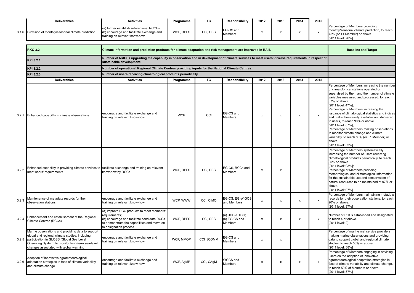|       | <b>Deliverables</b>                                                                                                                                                                                                                                 | <b>Activities</b>                                                                                                                                                                  | Programme  | тc         | <b>Responsibility</b>                      | 2012 | 2013                      | 2014           | 2015                      |                                                                                                                                                                                                                                                                                                                                                                                                                                                                                                                                                                                                     |
|-------|-----------------------------------------------------------------------------------------------------------------------------------------------------------------------------------------------------------------------------------------------------|------------------------------------------------------------------------------------------------------------------------------------------------------------------------------------|------------|------------|--------------------------------------------|------|---------------------------|----------------|---------------------------|-----------------------------------------------------------------------------------------------------------------------------------------------------------------------------------------------------------------------------------------------------------------------------------------------------------------------------------------------------------------------------------------------------------------------------------------------------------------------------------------------------------------------------------------------------------------------------------------------------|
|       | 3.1.6 Provision of monthly/seasonal climate prediction                                                                                                                                                                                              | a) further establish sub-regional RCOFs;<br>(b) encourage and facilitate exchange and<br>training on relevant know-how                                                             | WCP, DPFS  | CCI, CBS   | EG-CS and<br>Members                       | x    | $\boldsymbol{\mathsf{x}}$ | X              | X                         | Percentage of Members providing<br>monthly/seasonal climate prediction, to reach<br>75% (or +1 Member) or above.<br>[2011 level: 70%]                                                                                                                                                                                                                                                                                                                                                                                                                                                               |
|       |                                                                                                                                                                                                                                                     |                                                                                                                                                                                    |            |            |                                            |      |                           |                |                           |                                                                                                                                                                                                                                                                                                                                                                                                                                                                                                                                                                                                     |
|       | <b>RKO 3.2</b>                                                                                                                                                                                                                                      | Climate information and prediction products for climate adaptation and risk management are improved in RA II.                                                                      |            |            |                                            |      |                           |                |                           | <b>Baseline and Target</b>                                                                                                                                                                                                                                                                                                                                                                                                                                                                                                                                                                          |
|       | KPI 3.2.1                                                                                                                                                                                                                                           | Number of NMHSs upgrading the capability in observation and in development of climate services to meet users' diverse requirements in respect of<br>sustainable development.       |            |            |                                            |      |                           |                |                           |                                                                                                                                                                                                                                                                                                                                                                                                                                                                                                                                                                                                     |
|       | KPI 3.2.2                                                                                                                                                                                                                                           | Number of operational Regional Climate Centres providing inputs for the National Climate Centres.                                                                                  |            |            |                                            |      |                           |                |                           |                                                                                                                                                                                                                                                                                                                                                                                                                                                                                                                                                                                                     |
|       | KPI 3.2.3                                                                                                                                                                                                                                           | Number of users receiving climatological products periodically.                                                                                                                    |            |            |                                            |      |                           |                |                           |                                                                                                                                                                                                                                                                                                                                                                                                                                                                                                                                                                                                     |
|       | <b>Deliverables</b>                                                                                                                                                                                                                                 | <b>Activities</b>                                                                                                                                                                  | Programme  | TC         | Responsibility                             | 2012 | 2013                      | 2014           | 2015                      |                                                                                                                                                                                                                                                                                                                                                                                                                                                                                                                                                                                                     |
|       | 3.2.1 Enhanced capability in climate observations                                                                                                                                                                                                   | encourage and facilitate exchange and<br>training on relevant know-how                                                                                                             | <b>WCP</b> | CCI        | EG-CS and<br>Members                       | х    | х                         | $\pmb{\times}$ | $\boldsymbol{\mathsf{x}}$ | Percentage of Members increasing the number<br>of climatological stations operated or<br>supervised by them and the number of climate<br>variables measured and processed, to reach<br>57% or above<br>[2011 level: 47%];<br>Percentage of Members increasing the<br>issuance of climatological statistics and indices<br>and make them easily available and delivered<br>to users, to reach 90% or above<br>[2011 level: 87%];<br>Percentage of Members making observations<br>to monitor climate change and climate<br>variability, to reach 86% (or +1 Member) or<br>above.<br>[2011 level: 83%] |
| 3.2.2 | Enhanced capability in providing climate services to facilitate exchange and training on relevant<br>meet users' requirements                                                                                                                       | know-how by RCCs                                                                                                                                                                   | WCP, DPFS  | CCI, CBS   | EG-CS, RCCs and<br><b>Members</b>          | X    | $\boldsymbol{\mathsf{x}}$ |                |                           | Percentage of Members systematically<br>increasing the number of users receiving<br>climatological products periodically, to reach<br>95% or above<br>[2011 level: 93%];<br>Percentage of Members providing<br>meteorological and climatological information<br>for the sustainable use and conservation of<br>natural resources to be maintained at 97% or<br>above.<br>[2011 level: 97%]                                                                                                                                                                                                          |
| 3.2.3 | Maintenance of metadata records for their<br>observation stations                                                                                                                                                                                   | encourage and facilitate exchange and<br>training on relevant know-how                                                                                                             | WCP, WWW   | CCI, CIMO  | EG-CS, EG-WIGOS<br>and Members             | x    | x                         | x              | $\boldsymbol{\mathsf{x}}$ | Percentage of Members maintaining metadata<br>records for their observation stations, to reach<br>90% or above.<br>[2011 level: 87%]                                                                                                                                                                                                                                                                                                                                                                                                                                                                |
| 3.2.4 | Enhancement and establishment of the Regional<br>Climate Centres (RCCs)                                                                                                                                                                             | (a) improve RCC products to meet Members'<br>requirements;<br>(b) encourage and facilitate candidate RCCs<br>to demonstrate the capabilities and move on<br>to designation process | WCP, DPFS  | CCI, CBS   | (a) BCC & TCC:<br>(b) EG-CS and<br>Members | x    | $\pmb{\times}$            | х              | x                         | Number of RCCs established and designated,<br>to reach 4 or above.<br>[2011 level: 2]                                                                                                                                                                                                                                                                                                                                                                                                                                                                                                               |
|       | Marine observations and providing data to support<br>global and regional climate studies, including<br>3.2.5 participation in GLOSS (Global Sea Level<br>Observing System) to monitor long-term sea-level<br>changes associated with global warming | encourage and facilitate exchange and<br>training on relevant know-how                                                                                                             | WCP, MMOP  | CCI, JCOMM | EG-CS and<br>Members                       | x    | X                         |                |                           | Percentage of marine met service providers<br>making marine observations and providing<br>data to support global and regional climate<br>studies, to reach 50% or above.<br>[2011 level: 38%]                                                                                                                                                                                                                                                                                                                                                                                                       |
|       | Adoption of innovative agrometeorological<br>3.2.6 adaptation strategies in face of climate variability<br>and climate change                                                                                                                       | encourage and facilitate exchange and<br>training on relevant know-how                                                                                                             | WCP, AgMP  | CCI, CAgM  | WGCS and<br>Members                        | x    | $\pmb{\times}$            | x              | x                         | Percentage of Members engaging in advising<br>users on the adoption of innovative<br>agrometeorological adaptation strategies in<br>face of climate variability and climate change,<br>to reach 50% of Members or above.<br>[2011 level: 37%]                                                                                                                                                                                                                                                                                                                                                       |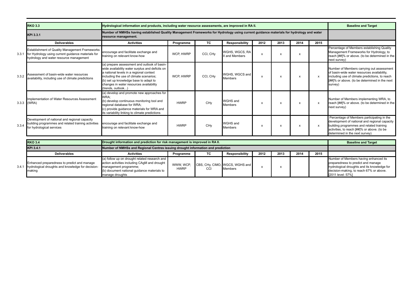|       | <b>RKO 3.3</b>                                                                                                                                  | Hydrological information and products, including water resource assessments, are improved in RA II.                                                                                                                                                                                            |                          |                      |                                                  |                           |                           |                  |              | <b>Baseline and Target</b>                                                                                                                                                                                               |
|-------|-------------------------------------------------------------------------------------------------------------------------------------------------|------------------------------------------------------------------------------------------------------------------------------------------------------------------------------------------------------------------------------------------------------------------------------------------------|--------------------------|----------------------|--------------------------------------------------|---------------------------|---------------------------|------------------|--------------|--------------------------------------------------------------------------------------------------------------------------------------------------------------------------------------------------------------------------|
|       | KPI 3.3.1                                                                                                                                       | Number of NMHSs having established Quality Management Frameworks for Hydrology using current guidance materials for hydrology and water<br>resource management.                                                                                                                                |                          |                      |                                                  |                           |                           |                  |              |                                                                                                                                                                                                                          |
|       | <b>Deliverables</b>                                                                                                                             | <b>Activities</b>                                                                                                                                                                                                                                                                              | Programme                | <b>TC</b>            | Responsibility                                   | 2012                      | 2013                      | 2014             | 2015         |                                                                                                                                                                                                                          |
| 3.3.1 | Establishment of Quality Management Frameworks<br>for Hydrology using current guidance materials for<br>hydrology and water resource management | encourage and facilitate exchange and<br>training on relevant know-how                                                                                                                                                                                                                         | WCP. HWRP                | CCI, CH <sub>V</sub> | WGHS, WGCS, RA<br>II and Members                 | $\boldsymbol{\mathsf{x}}$ | X                         | X                |              | Percentage of Members establishing Quality<br>Management Frameworks for Hydrology, to<br>reach [##]% or above. (to be determined in the<br>next survey)                                                                  |
| 3.3.2 | Assessment of basin-wide water resources<br>availability, including use of climate predictions                                                  | (a) prepare assessment and outlook of basin-<br>wide availability water surplus and deficits on<br>a national levels in a regional context<br>including the use of climate scenarios;<br>(b) set up knowledge base to adapt to<br>changes in water resources availability<br>(trends, outlook) | WCP. HWRP                | CCI, CH <sub>V</sub> | WGHS, WGCS and<br><b>Members</b>                 | $\boldsymbol{\mathsf{x}}$ | $\boldsymbol{\mathsf{x}}$ | $\boldsymbol{x}$ | $\mathsf{x}$ | Number of Members carrying out assessment<br>of basin-wide water resources availability,<br>including use of climate predictions, to reach<br>[##]% or above. (to be determined in the next<br>survey)                   |
|       | Implementation of Water Resources Assessment<br>3.3.3 (WRA)                                                                                     | (a) develop and promote new approaches for<br>WRA:<br>(b) develop continuous monitoring tool and<br>regional database for WRA;<br>(c) provide quidance materials for WRA and<br>its variability linking to climate predictions                                                                 | <b>HWRP</b>              | CHy                  | <b>WGHS and</b><br><b>Members</b>                | X                         | x                         | x                | x            | Number of Members implementing WRA, to<br>reach [##]% or above. (to be determined in the<br>next survey)                                                                                                                 |
| 3.3.4 | Development of national and regional capacity<br>building programmes and related training activities<br>for hydrological services               | encourage and facilitate exchange and<br>training on relevant know-how                                                                                                                                                                                                                         | <b>HWRP</b>              | CHy                  | <b>WGHS and</b><br><b>Members</b>                | X                         | $\boldsymbol{\mathsf{x}}$ | x                | x            | Percentage of Members participating in the<br>development of national and regional capacity<br>building programmes and related training<br>activities, to reach [##]% or above. (to be<br>determined in the next survey) |
|       | <b>RKO 3.4</b>                                                                                                                                  | Drought information and prediction for risk management is improved in RA II.                                                                                                                                                                                                                   |                          |                      |                                                  |                           |                           |                  |              | <b>Baseline and Target</b>                                                                                                                                                                                               |
|       | KPI 3.4.1                                                                                                                                       | Number of NMHSs and Regional Centres issuing drought information and prediction                                                                                                                                                                                                                |                          |                      |                                                  |                           |                           |                  |              |                                                                                                                                                                                                                          |
|       | <b>Deliverables</b>                                                                                                                             | <b>Activities</b>                                                                                                                                                                                                                                                                              | Programme                | <b>TC</b>            | Responsibility                                   | 2012                      | 2013                      | 2014             | 2015         |                                                                                                                                                                                                                          |
| 3.4.1 | Enhanced preparedness to predict and manage<br>hydrological droughts and knowledge for decision-<br>making                                      | (a) follow up on drought related research and<br>action activities including CAgM and drought<br>management programme;<br>(b) document national guidance materials to<br>manage droughts                                                                                                       | WWW. WCP.<br><b>HWRP</b> | CCI                  | CBS, CHy, CIMO, WGCS, WGHS and<br><b>Members</b> | $\boldsymbol{\mathsf{x}}$ | x                         |                  |              | Number of Members having enhanced its<br>preparedness to predict and manage<br>hydrological droughts and its knowledge for<br>decision-making, to reach 67% or above.<br>[2011 level: 57%]                               |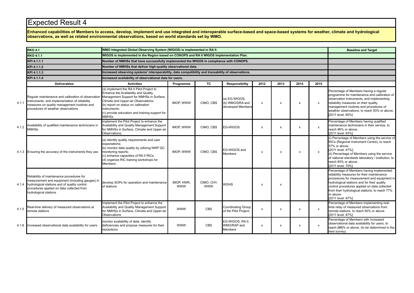**Enhanced capabilities of Members to access, develop, implement and use integrated and interoperable surface-based and space-based systems for weather, climate and hydrological observations, as well as related environmental observations, based on world standards set by WMO.**

|       | <b>RKO 4.1</b>                                                                                                                                                                                                     | WMO Integrated Global Observing System (WIGOS) is implemented in RA II.                                                                                                                                                                                                                      |                          |                          |                                                       |                           |                           |                           |                           | <b>Baseline and Target</b>                                                                                                                                                                                                                                                                                               |
|-------|--------------------------------------------------------------------------------------------------------------------------------------------------------------------------------------------------------------------|----------------------------------------------------------------------------------------------------------------------------------------------------------------------------------------------------------------------------------------------------------------------------------------------|--------------------------|--------------------------|-------------------------------------------------------|---------------------------|---------------------------|---------------------------|---------------------------|--------------------------------------------------------------------------------------------------------------------------------------------------------------------------------------------------------------------------------------------------------------------------------------------------------------------------|
|       | <b>RKO 4.1.1</b>                                                                                                                                                                                                   | WIGOS is implemented in the Region based on CONOPS and RA II WIGOS Implementation Plan.                                                                                                                                                                                                      |                          |                          |                                                       |                           |                           |                           |                           |                                                                                                                                                                                                                                                                                                                          |
|       | KPI 4.1.1.1                                                                                                                                                                                                        | Number of NMHSs that have successfully implemented the WIGOS in compliance with CONOPS.                                                                                                                                                                                                      |                          |                          |                                                       |                           |                           |                           |                           |                                                                                                                                                                                                                                                                                                                          |
|       | KPI 4.1.1.2                                                                                                                                                                                                        | Number of NMHSs that deliver high-quality observational data.                                                                                                                                                                                                                                |                          |                          |                                                       |                           |                           |                           |                           |                                                                                                                                                                                                                                                                                                                          |
|       | KPI 4.1.1.3                                                                                                                                                                                                        | Increased observing systems' interoperability, data compatibility and traceability of observations.                                                                                                                                                                                          |                          |                          |                                                       |                           |                           |                           |                           |                                                                                                                                                                                                                                                                                                                          |
|       | KPI 4.1.1.4                                                                                                                                                                                                        | Increased availability of observational data for users.                                                                                                                                                                                                                                      |                          |                          |                                                       |                           |                           |                           |                           |                                                                                                                                                                                                                                                                                                                          |
|       | <b>Deliverables</b>                                                                                                                                                                                                | <b>Activities</b>                                                                                                                                                                                                                                                                            | Programme                | <b>TC</b>                | Responsibility                                        | 2012                      | 2013                      | 2014                      | 2015                      |                                                                                                                                                                                                                                                                                                                          |
| 4.1.1 | Regular maintenance and calibration of observation<br>instruments, and implementation of reliability<br>measures on quality management routines and<br>procedures of weather observations                          | (a) implement the RA II Pilot Project to<br>Enhance the Availability and Quality<br>Management Support for NMHSs in Surface,<br>Climate and Upper-air Observations;<br>(b) report on status on calibration<br>instruments:<br>(c) provide education and training support for<br><b>NMHSs</b> | IMOP, WWW                | CIMO, CBS                | (a) EG-WIGOS;<br>(b) WMO/DRA and<br>developed Members | x                         | X                         | $\boldsymbol{\mathsf{x}}$ | X                         | Percentage of Members having a regular<br>programme for maintenance and calibration of<br>observation instruments, and implementing<br>reliability measures on their quality<br>management routines and procedures of<br>weather observations, to reach 93% or above.<br>[2011 level: 90%]                               |
| 4.1.2 | Availability of qualified maintenance technicians in<br><b>NMHSs</b>                                                                                                                                               | implement the Pilot Project to enhance the<br>Availability and Quality Management Support<br>for NMHSs in Surface, Climate and Upper-air<br>Observations:                                                                                                                                    | IMOP, WWW                | CIMO, CBS                | <b>EG-WIGOS</b>                                       | x                         | $\mathsf{x}$              | $\boldsymbol{\mathsf{x}}$ | X                         | Percentage of Members having qualified<br>maintenance technicians in their service, to<br>reach 86% or above.<br>[2011 level: 83%]                                                                                                                                                                                       |
|       | 4.1.3 Ensuring the accuracy of the instruments they use                                                                                                                                                            | (a) identify quality requirements and user<br>expectations;<br>(b) monitor data quality by utilizing NWP QC<br>monitoring reports;<br>c) enhance capacities of RA II RICs;<br>(d) organize RIC training workshops for<br>Members:                                                            | IMOP. WWW                | CIMO, CBS                | EG-WIGOS and<br><b>Members</b>                        | $\mathsf{x}$              | $\mathsf{x}$              | $\boldsymbol{\mathsf{x}}$ | $\boldsymbol{\mathsf{x}}$ | (i) Percentage of Members using the service of<br>RICs (Regional Instrument Centre), to reach<br>57% or above.<br>[2011 level: 47%];<br>(ii) Percentage of Members using the service<br>of national standards laboratory / institution, to<br>reach 80% or above.<br>[2011 level: 70%]                                   |
| 4.1.4 | Reliability of maintenance procedures for<br>measurement and equipment (including gauges) in<br>hydrological stations and of quality control<br>procedures applied on data collected from<br>hydrological stations | develop SOPs for operation and maintenance<br>of stations                                                                                                                                                                                                                                    | IMOP. HWR.<br><b>WWW</b> | CIMO, CHY,<br><b>WWW</b> | <b>WGHS</b>                                           | $\boldsymbol{\mathsf{x}}$ | $\boldsymbol{\mathsf{x}}$ |                           |                           | Percentage of Members having implemented<br>reliability measures for their maintenance<br>procedures for measurement and equipment in<br>hydrological stations and for their quality<br>control procedures applied on data collected<br>from their hydrological stations, to reach 77%<br>or above.<br>[2011 level: 67%] |
| 4.1.5 | Real-time delivery of measured observations at<br>remote stations                                                                                                                                                  | Implement the Pilot Project to enhance the<br>Availability and Quality Management Support<br>for NMHSs in Surface, Climate and Upper-air<br>Observations                                                                                                                                     | <b>WWW</b>               | CBS                      | <b>Coordinating Group</b><br>of the Pilot Project;    | x                         | X                         | $\boldsymbol{\mathsf{x}}$ | $\pmb{\chi}$              | Percentage of Members implementing real-<br>time relay of measured observations from<br>remote stations, to reach 90% or above.<br>[2011 level: 87%]                                                                                                                                                                     |
| 4.1.6 | Increased observational data availability for users                                                                                                                                                                | monitor availability of data, identify<br>deficiencies and propose measures for their<br>resolutions                                                                                                                                                                                         | <b>WWW</b>               | <b>CBS</b>               | EG-WIGOS, RA II.<br>WMO/RAP and<br><b>Members</b>     | x                         | x                         | X                         | X                         | Percentage of Members with increased<br>observational data availability for users, to<br>reach [##]% or above. (to be determined in the<br>next survey)                                                                                                                                                                  |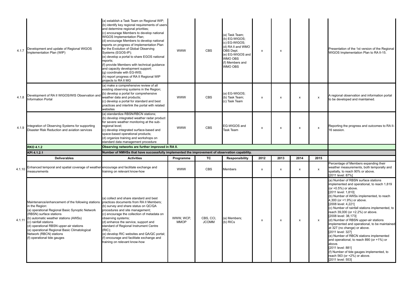| 4.1.7  | Development and update of Regional WIGOS<br>Implementation Plan (WIP)                                                                                                                                                                                                                                                                                                                                             | (a) establish a Task Team on Regional WIP;<br>(b) identify key regional requirements of users<br>and determine regional priorities;<br>(c) encourage Members to develop national<br>WIGOS Implementation Plan;<br>(d) encourage Members to develop national<br>reports on progress of Implementation Plan<br>for the Evolution of Global Observing<br>Systems (EGOS-IP);<br>(e) develop a portal to share EGOS national<br>reports;<br>(f) provide Members with technical guidance<br>and capacity development support;<br>(g) coordinate with EG-WIS;<br>(h) report progress of RA II Regional WIP<br>projects to RA II MG | <b>WWW</b>               | <b>CBS</b>                | a) Task Team:<br>(b) EG-WIGOS;<br>(c) EG-WIGOS;<br>(d) RA II and WMO<br>OBS Dept.<br>(e) EG-WIGOS and<br>WMO OBS<br>(f) Members and<br>WMO OBS | x    | x                         |                           |                           | Presentation of the 1st version of the Regional<br>WIGOS Implementation Plan to RA II-15.                                                                                                                                                                                                                                                                                                                                                                                                                                                                                                                                |
|--------|-------------------------------------------------------------------------------------------------------------------------------------------------------------------------------------------------------------------------------------------------------------------------------------------------------------------------------------------------------------------------------------------------------------------|-----------------------------------------------------------------------------------------------------------------------------------------------------------------------------------------------------------------------------------------------------------------------------------------------------------------------------------------------------------------------------------------------------------------------------------------------------------------------------------------------------------------------------------------------------------------------------------------------------------------------------|--------------------------|---------------------------|------------------------------------------------------------------------------------------------------------------------------------------------|------|---------------------------|---------------------------|---------------------------|--------------------------------------------------------------------------------------------------------------------------------------------------------------------------------------------------------------------------------------------------------------------------------------------------------------------------------------------------------------------------------------------------------------------------------------------------------------------------------------------------------------------------------------------------------------------------------------------------------------------------|
| 4.1.8  | Development of RA II WIGOS/WIS Observation ar<br><b>Information Portal</b>                                                                                                                                                                                                                                                                                                                                        | (a) make a comprehensive review of all<br>existing observing systems in the Region;<br>(b) develop a portal for comprehensive<br>weather data and products;<br>(c) develop a portal for standard and best<br>practices and interlink the portal with related<br>websites                                                                                                                                                                                                                                                                                                                                                    | <b>WWW</b>               | <b>CBS</b>                | a) EG-WIGOS;<br>(b) Task Team;<br>c) Task Team                                                                                                 | x    | $\pmb{\times}$            | $\boldsymbol{\mathsf{x}}$ | $\boldsymbol{\mathsf{x}}$ | A regional observation and information portal<br>to be developed and maintained.                                                                                                                                                                                                                                                                                                                                                                                                                                                                                                                                         |
| 4.1.9  | Integration of Observing Systems for supporting<br>Disaster Risk Reduction and aviation services                                                                                                                                                                                                                                                                                                                  | (a) standardize RBSN/RBCN stations;<br>(b) develop integrated weather radar product<br>for severe weather monitoring at the sub-<br>regional level;<br>(c) develop integrated surface-based and<br>space-based operational products;<br>(d) organize training and workshops on<br>standard data management procedure                                                                                                                                                                                                                                                                                                        | <b>WWW</b>               | <b>CBS</b>                | EG-WIGOS and<br>Task Team                                                                                                                      | X    | $\pmb{\times}$            | $\pmb{\times}$            | $\boldsymbol{\mathsf{x}}$ | Reporting the progress and outcomes to RA II-<br>16 session.                                                                                                                                                                                                                                                                                                                                                                                                                                                                                                                                                             |
|        | <b>RKO 4.1.2</b>                                                                                                                                                                                                                                                                                                                                                                                                  | Observing networks are further improved in RA II.                                                                                                                                                                                                                                                                                                                                                                                                                                                                                                                                                                           |                          |                           |                                                                                                                                                |      |                           |                           |                           |                                                                                                                                                                                                                                                                                                                                                                                                                                                                                                                                                                                                                          |
|        | KPI 4.1.2.1                                                                                                                                                                                                                                                                                                                                                                                                       | Number of NMHSs that have successfully implemented the improvement of observation capability.                                                                                                                                                                                                                                                                                                                                                                                                                                                                                                                               |                          |                           |                                                                                                                                                |      |                           |                           |                           |                                                                                                                                                                                                                                                                                                                                                                                                                                                                                                                                                                                                                          |
|        | <b>Deliverables</b>                                                                                                                                                                                                                                                                                                                                                                                               | <b>Activities</b>                                                                                                                                                                                                                                                                                                                                                                                                                                                                                                                                                                                                           | Programme                | TC                        | <b>Responsibility</b>                                                                                                                          | 2012 | 2013                      | 2014                      | 2015                      |                                                                                                                                                                                                                                                                                                                                                                                                                                                                                                                                                                                                                          |
| 4.1.10 | Enhanced temporal and spatial coverage of weather encourage and facilitate exchange and<br>measurements                                                                                                                                                                                                                                                                                                           | training on relevant know-how                                                                                                                                                                                                                                                                                                                                                                                                                                                                                                                                                                                               | <b>WWW</b>               | <b>CBS</b>                | <b>Members</b>                                                                                                                                 | x    | $\boldsymbol{\mathsf{x}}$ | $\boldsymbol{\mathsf{x}}$ | x                         | Percentage of Members expanding their<br>weather measurements, both temporally and<br>spatially, to reach 90% or above.<br>[2011 level: 87%]                                                                                                                                                                                                                                                                                                                                                                                                                                                                             |
| 4.1.11 | Maintenance/enhancement of the following stations practices documents from RA II Members;<br>in the Region:<br>(a) operational Regional Basic Synoptic Network<br>(RBSN) surface stations<br>(b) automatic weather stations (AWSs)<br>(c) rainfall stations<br>(d) operational RBSN upper-air stations<br>(e) operational Regional Basic Climatological<br>Network (RBCN) stations<br>(f) operational tide gauges | (a) collect and share standard and best<br>(b) survey and share status on QC/QA<br>procedures and site management;<br>(c) encourage the collection of metadata on<br>observing systems;<br>(d) enhance the service, support and<br>standard of Regional Instrument Centre<br>$(RIC)$ ;<br>(e) develop RIC websites and QA/QC portal;<br>(f) encourage and facilitate exchange and<br>training on relevant know-how                                                                                                                                                                                                          | WWW. WCP.<br><b>MMOP</b> | CBS, CCI,<br><b>JCOMM</b> | a) Members;<br>(b) RICs                                                                                                                        | x    | $\pmb{\times}$            | $\pmb{\times}$            | $\pmb{\mathsf{x}}$        | (a) Number of RBSN surface stations<br>implemented and operational, to reach 1,819<br>(or +0.5%) or above.<br>[2011 level: 1,810]<br>(b) Number of AWSs implemented, to reach<br>4,300 (or +1.9%) or above.<br>[2008 level: 4,221]<br>(c) Number of rainfall stations implemented, to<br>reach 39,000 (or +2.2%) or above.<br>[2008 level: 38,173]<br>(d) Number of RBSN upper-air stations<br>implemented and operational, to be maintained<br>at 327 (no change) or above.<br>[2011 level: 327]<br>(e) Number of RBCN stations implemented<br>and operational, to reach 890 (or +1%) or<br>above.<br>[2011 level: 881] |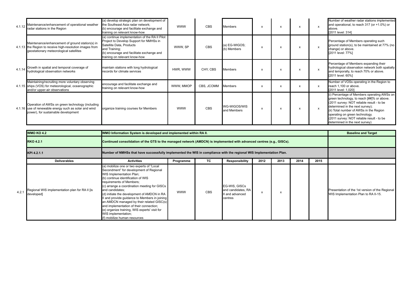| 4.1.12 | Maintenance/enhancement of operational weather<br>radar stations in the Region                                                                         | (a) develop strategic plan on development of<br>the Southeast Asia radar network:<br>(b) encourage and facilitate exchange and<br>training on relevant know-how                                                      | <b>WWW</b> | <b>CBS</b> | <b>Members</b>               | x | X | $\boldsymbol{\mathsf{x}}$ | Number of weather radar stations implemented<br>and operational, to reach 317 (or +1.0%) or<br>above.<br>[2011 level: 314]                                                                                                                                                                                                            |
|--------|--------------------------------------------------------------------------------------------------------------------------------------------------------|----------------------------------------------------------------------------------------------------------------------------------------------------------------------------------------------------------------------|------------|------------|------------------------------|---|---|---------------------------|---------------------------------------------------------------------------------------------------------------------------------------------------------------------------------------------------------------------------------------------------------------------------------------------------------------------------------------|
|        | Maintenance/enhancement of ground station(s) in<br>4.1.13 the Region to receive high-resolution images from<br>geostationary meteorological satellites | (a) continue implementation of the RA II Pilot<br>Project to Develop Support for NMHSs in<br>Satellite Data, Products<br>and Training;<br>(b) encourage and facilitate exchange and<br>training on relevant know-how | WWW. SP    | <b>CBS</b> | (a) EG-WIGOS;<br>(b) Members | x | X | $\boldsymbol{\mathsf{x}}$ | Percentage of Members operating such<br>ground station(s), to be maintained at 77% (no<br>change) or above.<br>[2011 level: 77%]                                                                                                                                                                                                      |
| 4.1.14 | Growth in spatial and temporal coverage of<br>hydrological observation networks                                                                        | maintain stations with long hydrological<br>records for climate services                                                                                                                                             | HWR, WWW   | CHY, CBS   | <b>Members</b>               | x | X | $\boldsymbol{\mathsf{x}}$ | Percentage of Members expanding their<br>hydrological observation network both spatially<br>and temporally, to reach 70% or above.<br>[2011 level: 60%]                                                                                                                                                                               |
|        | Maintaining/recruiting more voluntary observing<br>4.1.15 ships (VOS) for meteorological, oceanographic<br>and/or upper-air observations               | encourage and facilitate exchange and<br>training on relevant know-how                                                                                                                                               | WWW. MMOP  | CBS, JCOMM | <b>Members</b>               | x | X | X                         | Number of VOSs operating in the Region to<br>reach 1,100 or above.<br>[2011 level: 1,020]                                                                                                                                                                                                                                             |
|        | Operation of AWSs on green technology (including<br>4.1.16 use of renewable energy such as solar and wind<br>power), for sustainable development       | organize training courses for Members                                                                                                                                                                                | <b>WWW</b> | <b>CBS</b> | WG-WIGOS/WIS<br>and Members  | x | X | $\boldsymbol{\mathsf{x}}$ | (i) Percentage of Members operating AWSs on<br>green technology, to reach [##]% or above.<br>(2011 survey: NOT reliable result - to be<br>determined in the next survey);<br>(ii) Total number of AWSs in the Region<br>operating on green technology.<br>(2011 survey: NOT reliable result - to be<br>determined in the next survey) |

|      | <b>WMO KO 4.2</b>                                            | WMO Information System is developed and implemented within RA II.                                                                                                                                                                                                                                                                                                                                                                                                                                                                               |            |            |                                                                   |      |      |      |      | <b>Baseline and Target</b>                                                              |
|------|--------------------------------------------------------------|-------------------------------------------------------------------------------------------------------------------------------------------------------------------------------------------------------------------------------------------------------------------------------------------------------------------------------------------------------------------------------------------------------------------------------------------------------------------------------------------------------------------------------------------------|------------|------------|-------------------------------------------------------------------|------|------|------|------|-----------------------------------------------------------------------------------------|
|      | <b>RKO 4.2.1</b>                                             | Continued consolidation of the GTS to the managed network (AMDCN) is implemented with advanced centres (e.g., GISCs).                                                                                                                                                                                                                                                                                                                                                                                                                           |            |            |                                                                   |      |      |      |      |                                                                                         |
|      | KPI 4.2.1.1                                                  | Number of NMHSs that have successfully implemented the WIS in compliance with the regional WIS Implementation Plan.                                                                                                                                                                                                                                                                                                                                                                                                                             |            |            |                                                                   |      |      |      |      |                                                                                         |
|      | <b>Deliverables</b>                                          | <b>Activities</b>                                                                                                                                                                                                                                                                                                                                                                                                                                                                                                                               | Programme  | TC.        | Responsibility                                                    | 2012 | 2013 | 2014 | 2015 |                                                                                         |
| 4.2. | Regional WIS implementation plan for RA II [is<br>developed] | a) mobilize one or two experts of "Local<br>Secondment" for development of Regional<br>WIS Implementation Plan;<br>b) continue identification of WIS<br>requirements of Members;<br>c) arrange a coordination meeting for GISCs<br>and candidates:<br>(d) initiate the development of AMDCN in RA<br>and provide guidance to Members in joining<br>an AMDCN managed by their related GISC(s)<br>and implementation of their connection;<br>(e) organize training, WIS experts' visit for<br>WIS implementation;<br>(f) mobilize human resources | <b>WWW</b> | <b>CBS</b> | EG-WIS, GISCs<br>and candidates, RA<br>II and advanced<br>centres | x    |      |      |      | Presentation of the 1st version of the Regional<br>WIS Implementation Plan to RA II-15. |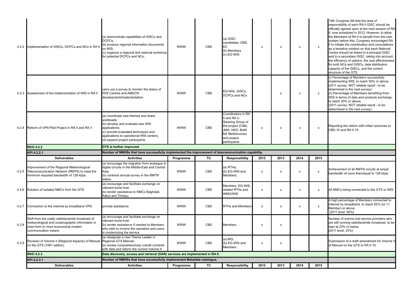|       | 4.2.2 Implementation of GISCs, DCPCs and NCs in RA                                                                                                                  | (a) demonstrate capabilities of GISCs and<br>DCPCs:<br>(b) produce regional information documents<br>on WIS:<br>(c) organize a regional and national workshop<br>for potential DCPCs and NCs;                                 | <b>WWW</b> | CBS        | (a) GISC<br>candidates, CBS.<br>EC.<br>(b) Members<br>c) EG-WIS                                                                                | x                  | X                         | $\pmb{\chi}$ | $\pmb{\mathsf{x}}$        | 14th Congress felt that the area of<br>responsibility of each RA II GISC should be<br>officially agreed upon at the next session of RA<br>II, now scheduled in 2012. However, to allow<br>the Members of RA II to benefit from the new<br>system before this, Congress encouraged RA<br>II to initiate the coordination and consultations<br>as a tentative solution so that each National<br>Centre should be linked to a principal GISC<br>and to a secondary GISC, taking into account<br>the efficiency of options, the cost effectiveness<br>for both NCs and GISCs, data distribution<br>capacity of the GISCs, and the current<br>structure of the GTS. |
|-------|---------------------------------------------------------------------------------------------------------------------------------------------------------------------|-------------------------------------------------------------------------------------------------------------------------------------------------------------------------------------------------------------------------------|------------|------------|------------------------------------------------------------------------------------------------------------------------------------------------|--------------------|---------------------------|--------------|---------------------------|----------------------------------------------------------------------------------------------------------------------------------------------------------------------------------------------------------------------------------------------------------------------------------------------------------------------------------------------------------------------------------------------------------------------------------------------------------------------------------------------------------------------------------------------------------------------------------------------------------------------------------------------------------------|
|       | 4.2.3 Assessment of the implementation of WIS in RA II                                                                                                              | carry out a survey to monitor the status of<br>WIS Centres and AMDCN<br>development/implementation                                                                                                                            | <b>WWW</b> | <b>CBS</b> | EG-WIS, GISCs,<br>DCPCs and NCs                                                                                                                |                    | $\boldsymbol{\mathsf{x}}$ | x            | $\pmb{\mathsf{x}}$        | (i) Percentage of Members successfully<br>implementing WIS, to reach 50% or above.<br>(2011 survey: NOT reliable result - to be<br>determined in the next survey);<br>(ii) Percentage of Members benefiting from<br>WIS in terms of data and products exchange,<br>to reach 50% or above.<br>(2011 survey: NOT reliable result - to be<br>determined in the next survey)                                                                                                                                                                                                                                                                                       |
|       | 4.2.4 Reform of VPN Pilot Project in RA II and RA V                                                                                                                 | (a) coordinate new themes and share<br>workloads;<br>(b) develop and evaluate new WIS<br>applications;<br>(c) provide evaluated techniques and<br>applications to operational WIS centers;<br>(d) expand project participants | <b>WWW</b> | <b>CBS</b> | Coordinators in RA<br>I and RAV.<br>Steering Group of<br>the project (CMA,<br>JMA, HKO, BoM,<br>NZ MetServices)<br>and project<br>participants | x                  | X                         | $\pmb{\chi}$ | $\boldsymbol{\mathsf{x}}$ | Reporting the reform with initial outcomes to<br>CBS-15 and RA II-15.                                                                                                                                                                                                                                                                                                                                                                                                                                                                                                                                                                                          |
|       |                                                                                                                                                                     |                                                                                                                                                                                                                               |            |            |                                                                                                                                                |                    |                           |              |                           |                                                                                                                                                                                                                                                                                                                                                                                                                                                                                                                                                                                                                                                                |
|       | <b>RKO 4.2.2</b>                                                                                                                                                    | GTS is further improved.                                                                                                                                                                                                      |            |            |                                                                                                                                                |                    |                           |              |                           |                                                                                                                                                                                                                                                                                                                                                                                                                                                                                                                                                                                                                                                                |
|       | KPI 4.2.2.1                                                                                                                                                         | Number of NMHSs that have successfully implemented the improvement of telecommunication capability.                                                                                                                           |            |            |                                                                                                                                                |                    |                           |              |                           |                                                                                                                                                                                                                                                                                                                                                                                                                                                                                                                                                                                                                                                                |
|       | <b>Deliverables</b>                                                                                                                                                 | <b>Activities</b>                                                                                                                                                                                                             | Programme  | TC         | <b>Responsibility</b>                                                                                                                          | 2012               | 2013                      | 2014         | 2015                      |                                                                                                                                                                                                                                                                                                                                                                                                                                                                                                                                                                                                                                                                |
|       | Improvement of the Regional Meteorological<br>4.2.5 Telecommunication Network (RMTN) to meet the<br>minimum required bandwidth of 128 kbps                          | (a) encourage the migration from analogue to<br>digital circuits in the Middle-East and Central<br>Asia;<br>(b) continue annual survey in the RMTN<br>status:                                                                 | <b>WWW</b> | <b>CBS</b> | a) RTHs;<br>(b) EG-WIS and<br>Members:                                                                                                         | $\pmb{\mathsf{x}}$ | $\pmb{\mathsf{x}}$        | x            | $\boldsymbol{\mathsf{x}}$ | Achievement of all RMTN circuits at actual<br>bandwidth of more than/equal to 128 kbps.                                                                                                                                                                                                                                                                                                                                                                                                                                                                                                                                                                        |
|       | 4.2.6 Solution of isolated NMCs from the GTS                                                                                                                        | (a) encourage and facilitate exchange on<br>relevant know-how;<br>(b) render assistance to NMCs Baghdad,<br>Kabul and Thimpu;                                                                                                 | <b>WWW</b> | <b>CBS</b> | Members, EG-WIS.<br>related RTHs and<br>WMO/WIS                                                                                                | x                  | $\pmb{\mathsf{x}}$        | x            | $\boldsymbol{\mathsf{x}}$ | All NMCs being connected to the GTS or WIS.                                                                                                                                                                                                                                                                                                                                                                                                                                                                                                                                                                                                                    |
|       | 4.2.7 Connection to the Internet by broadband VPN                                                                                                                   | provide assistance                                                                                                                                                                                                            | <b>WWW</b> | <b>CBS</b> | <b>RTHs and Members</b>                                                                                                                        | x                  | X                         | $\mathsf{x}$ | x                         | A high percentage of Members connected to<br>Internet by broadband, to reach 92% (or +1<br>Member) or above.<br>[2011 level: 90%]                                                                                                                                                                                                                                                                                                                                                                                                                                                                                                                              |
| 4.2.8 | Shift from the costly radiofacsimile broadcast of<br>meteorological and oceanographic information in<br>chart form to more economical modern<br>communication means | (a) encourage and facilitate exchange on<br>relevant know-how;<br>(b) render assistance if needed to Members<br>who wish to involve the operators and users<br>in modernizing the service                                     | <b>WWW</b> | <b>CBS</b> | <b>Members</b>                                                                                                                                 | x                  | X                         |              |                           | Number of marine met service providers who<br>are still running radiofacsimile broadcast, to be<br>kept at 23% or below.<br>[2011 level: 23%]                                                                                                                                                                                                                                                                                                                                                                                                                                                                                                                  |
| 4.2.9 | Revision of Volume II (Regional Aspects) of Manua<br>on the GTS (1991 edition)                                                                                      | (a) designate a new Theme Leader in<br>Regional GTS Manual;<br>(b) review comprehensively overall contents<br>with data and reform the current Volume II                                                                      | <b>WWW</b> | <b>CBS</b> | a) MG;<br>(b) EG-WIS and<br><b>Members</b>                                                                                                     | x                  | $\pmb{\mathsf{x}}$        |              |                           | Submission of a draft amendment for Volume II<br>of Manual on the GTS to RA II-15.                                                                                                                                                                                                                                                                                                                                                                                                                                                                                                                                                                             |
|       | <b>RKO 4.2.3</b>                                                                                                                                                    | Data discovery, access and retrieval (DAR) services are implemented in RA II.                                                                                                                                                 |            |            |                                                                                                                                                |                    |                           |              |                           |                                                                                                                                                                                                                                                                                                                                                                                                                                                                                                                                                                                                                                                                |
|       | KPI 4.2.3.1                                                                                                                                                         | Number of NMHSs that have successfully implemented Metadata catalogue.                                                                                                                                                        |            |            |                                                                                                                                                |                    |                           |              |                           |                                                                                                                                                                                                                                                                                                                                                                                                                                                                                                                                                                                                                                                                |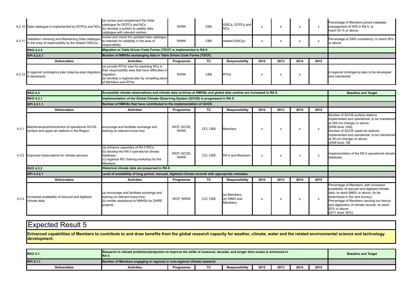|        | 4.2.10 Data catalogue is implemented by DCPCs and NCs                                                                                                 | (a) review and complement the initial<br>catalogue for DCPCs and NCs;<br>(b) develop a system to update data<br>cataloque with relevant centres | <b>WWW</b> | CBS | GISCs. DCPCs and<br>NCs |      |           |      |      | Percentage of Members joined metadata<br>management of WIS in RA II, to<br>reach 50 % or above. |
|--------|-------------------------------------------------------------------------------------------------------------------------------------------------------|-------------------------------------------------------------------------------------------------------------------------------------------------|------------|-----|-------------------------|------|-----------|------|------|-------------------------------------------------------------------------------------------------|
| 4.2.11 | Validation checking and Maintaining Data catalogue to maintain its reliability in the area of<br>in the area of responsibility by the related GISC(s) | review and check the updated data catalogue<br>responsibility                                                                                   | <b>WWW</b> | CBS | related GISC(s)         |      | $\lambda$ |      |      | Percentage of DAR consistency, to reach 95%<br>or above.                                        |
|        | <b>RKO 4.2.4</b>                                                                                                                                      | Migration to Table Driven Code Forms (TDCF) is implemented in RA II.                                                                            |            |     |                         |      |           |      |      |                                                                                                 |
|        | KPI 4.2.4.1                                                                                                                                           | Number of NMHSs exchanging data in Table Driven Code Forms (TDCF).                                                                              |            |     |                         |      |           |      |      |                                                                                                 |
|        |                                                                                                                                                       |                                                                                                                                                 |            |     |                         |      |           |      |      |                                                                                                 |
|        | <b>Deliverables</b>                                                                                                                                   | <b>Activities</b>                                                                                                                               | Programme  | TC  | Responsibility          | 2012 | 2013      | 2014 | 2015 |                                                                                                 |

|       | <b>RKO 4.3</b>                                                                              | Accessible climate observations and climate data archives at NMHSs and global data centres are increased in RA II.                                              |                          |          |                                        |                           |                           |      |                           | <b>Baseline and Target</b>                                                                                                                                                                                                                                                                             |
|-------|---------------------------------------------------------------------------------------------|-----------------------------------------------------------------------------------------------------------------------------------------------------------------|--------------------------|----------|----------------------------------------|---------------------------|---------------------------|------|---------------------------|--------------------------------------------------------------------------------------------------------------------------------------------------------------------------------------------------------------------------------------------------------------------------------------------------------|
|       | <b>RKO 4.3.1</b>                                                                            | Implementation of the Global Climate Observing System (GCOS) is progressed in RA II.                                                                            |                          |          |                                        |                           |                           |      |                           |                                                                                                                                                                                                                                                                                                        |
|       | KPI 4.3.1.1                                                                                 | Number of NMHSs that have contributed to the implementation of GCOS.                                                                                            |                          |          |                                        |                           |                           |      |                           |                                                                                                                                                                                                                                                                                                        |
|       | <b>Deliverables</b>                                                                         | <b>Activities</b>                                                                                                                                               | Programme                | TC.      | Responsibility                         | 2012                      | 2013                      | 2014 | 2015                      |                                                                                                                                                                                                                                                                                                        |
| 4.3.1 | Maintenance/enhancement of operational GCOS<br>surface and upper-air stations in the Region | encourage and facilitate exchange and<br>training on relevant know-how                                                                                          | WCP, GCOS,<br><b>WWW</b> | CCI, CBS | <b>Members</b>                         | X                         | X                         |      | $\mathsf{x}$              | Number of GCOS surface stations<br>implemented and operational, to be maintained<br>at 294 (no change) or above.<br>[2008 level: 294];<br>Number of GCOS upper-air stations<br>implemented and operational, to be maintained<br>at 39 (no change) or above.<br>[2008 level: 39]                        |
|       | 4.3.2 Improved observations for climate services                                            | (a) enhance capacities of RA II RICs;<br>(b) develop the RA II operational climate<br>database:<br>(c) organize RIC training workshop for the<br><b>Members</b> | WCP, GCOS,<br><b>WWW</b> | CCI, CBS | RA II and Members                      | $\boldsymbol{\mathsf{x}}$ | $\boldsymbol{\mathsf{x}}$ |      | $\boldsymbol{\mathsf{x}}$ | Implementation of the RA II operational climate<br>database.                                                                                                                                                                                                                                           |
|       | <b>RKO 4.3.2</b>                                                                            | Historical climate data are preserved in RA II.                                                                                                                 |                          |          |                                        |                           |                           |      |                           |                                                                                                                                                                                                                                                                                                        |
|       | KPI 4.3.2.1                                                                                 | Level of availability of long period, rescued, digitized climate records with appropriate metadata.                                                             |                          |          |                                        |                           |                           |      |                           |                                                                                                                                                                                                                                                                                                        |
|       | <b>Deliverables</b>                                                                         | <b>Activities</b>                                                                                                                                               | Programme                | TC       | Responsibility                         | 2012                      | 2013                      | 2014 | 2015                      |                                                                                                                                                                                                                                                                                                        |
| 4.3.3 | Increased availability of rescued and digitized<br>climate data                             | (a) encourage and facilitate exchange and<br>training on relevant know-how;<br>(b) render assistance to NMHSs for DARE<br>projects                              | WCP, WWW                 | CCI, CBS | a) Members:<br>(b) WMO and<br>Members: | X                         | $\boldsymbol{\mathsf{x}}$ |      | $\boldsymbol{\mathsf{x}}$ | Percentage of Members, with increased<br>availability of rescued and digitized climate<br>data, to reach [##]% or above. (to be<br>determined in the next survey);<br>Percentage of Members carrying out rescue<br>and digitization of climate records, to reach<br>92% or above.<br>[2011 level: 90%] |

**Enhanced capabilities of Members to contribute to and draw benefits from the global research capacity for weather, climate, water and the related environmental science and technology development.**

| <b>RKO 5.1</b>      | Research in climate prediction/projection to improve the skills of seasonal, decadal, and longer time scales is enhanced in<br><b>IRA II.</b> |           |    |                       |      |      |      |      | <b>Baseline and Target</b> |
|---------------------|-----------------------------------------------------------------------------------------------------------------------------------------------|-----------|----|-----------------------|------|------|------|------|----------------------------|
| KPI 5.1.1           | Number of Members engaging in regional or sub-regional climate research.                                                                      |           |    |                       |      |      |      |      |                            |
| <b>Deliverables</b> | Activities                                                                                                                                    | Programme | TC | <b>Responsibility</b> | 2012 | 2013 | 2014 | 2015 |                            |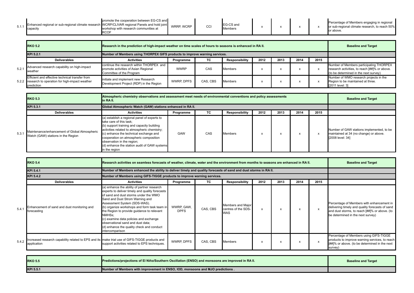| 5.1.<br>capacity |  | promote the cooperation between EG-CS and<br>Enhanced regional or sub-regional climate research WCRP/CLIVAR regional Panels and hold joint<br>vorkshop with research communities at<br>י הע | <b>WRRP, WCRP</b> | ◡◡ﺍ | EG-CS and<br>Members |  |  |  |  | Percentage of Members engaging in regional<br>or sub-regional climate research, to reach 50%<br>or above. |
|------------------|--|---------------------------------------------------------------------------------------------------------------------------------------------------------------------------------------------|-------------------|-----|----------------------|--|--|--|--|-----------------------------------------------------------------------------------------------------------|
|------------------|--|---------------------------------------------------------------------------------------------------------------------------------------------------------------------------------------------|-------------------|-----|----------------------|--|--|--|--|-----------------------------------------------------------------------------------------------------------|

| <b>RKO 5.2</b>                                                                                                       |                                                                                                              | Research in the prediction of high-impact weather on time scales of hours to seasons is enhanced in RA II. |          |                |      |      |      |      |                                                                                                                                   |
|----------------------------------------------------------------------------------------------------------------------|--------------------------------------------------------------------------------------------------------------|------------------------------------------------------------------------------------------------------------|----------|----------------|------|------|------|------|-----------------------------------------------------------------------------------------------------------------------------------|
| KPI 5.2.1                                                                                                            | Number of Members using THORPEX GIFS products to improve warning services.                                   |                                                                                                            |          |                |      |      |      |      |                                                                                                                                   |
| <b>Deliverables</b>                                                                                                  | <b>Activities</b>                                                                                            | Programme                                                                                                  | ТC       | Responsibility | 2012 | 2013 | 2014 | 2015 |                                                                                                                                   |
| 5.2.1 Advanced research capability on high-impact<br>weather                                                         | continue the research within THORPEX and<br>promote activities of Asian Regional<br>Committee of the Program | <b>WWRP</b>                                                                                                | CAS      | <b>Members</b> |      |      |      |      | Number of Members participating THORPEX<br>research activities, to reach [##]% or above.<br>(to be determined in the next survey) |
| Efficient and effective technical transfer from<br>5.2.2 research to operation for high-impact weather<br>prediction | initiate and implement new Research<br>Development Project (RDP) in the Region                               | <b>WWRP, DPFS</b>                                                                                          | CAS, CBS | <b>Members</b> |      |      |      |      | Number of WMO research projects in the<br>Region to be maintained at three.<br>[2011 level: 3]                                    |

|       | <b>RKO 5.3</b>                                                                      | Atmospheric chemistry observations and assessment meet needs of environmental conventions and policy assessments<br>in RA II.                                                                                                                                                                                                                            |           |     |                |      |      |      |      | <b>Baseline and Target</b>                                                                              |
|-------|-------------------------------------------------------------------------------------|----------------------------------------------------------------------------------------------------------------------------------------------------------------------------------------------------------------------------------------------------------------------------------------------------------------------------------------------------------|-----------|-----|----------------|------|------|------|------|---------------------------------------------------------------------------------------------------------|
|       | KPI 5.3.1                                                                           | Global Atmospheric Watch (GAW) stations enhanced in RA II.                                                                                                                                                                                                                                                                                               |           |     |                |      |      |      |      |                                                                                                         |
|       | <b>Deliverables</b>                                                                 | <b>Activities</b>                                                                                                                                                                                                                                                                                                                                        | Programme | TC. | Responsibility | 2012 | 2013 | 2014 | 2015 |                                                                                                         |
| 5.3.1 | Maintenance/enhancement of Global Atmospheric<br>Watch (GAW) stations in the Region | (a) establish a regional panel of experts to<br>take care of this task:<br>(b) support training and capacity building<br>activities related to atmospheric chemistry;<br>(c) enhance the technical exchange and<br>cooperation on atmospheric composition<br>observation in the region;<br>(d) enhance the station audit of GAW systems<br>in the region | GAW       | CAS | <b>Members</b> |      |      |      |      | Number of GAW stations implemented, to be<br>maintained at 34 (no change) or above.<br>[2008 level: 34] |

|       | <b>RKO 5.4</b>                                                                                                | <b>Baseline and Target</b>                                                                                                                                                                                                                                                                                                                                                                                                                                    |                           |          |                                                        |      |      |      |      |                                                                                                                                                                                    |
|-------|---------------------------------------------------------------------------------------------------------------|---------------------------------------------------------------------------------------------------------------------------------------------------------------------------------------------------------------------------------------------------------------------------------------------------------------------------------------------------------------------------------------------------------------------------------------------------------------|---------------------------|----------|--------------------------------------------------------|------|------|------|------|------------------------------------------------------------------------------------------------------------------------------------------------------------------------------------|
|       | KPI 5.4.1                                                                                                     | Number of Members enhanced the ability to deliver timely and quality forecasts of sand and dust storms in RA II.                                                                                                                                                                                                                                                                                                                                              |                           |          |                                                        |      |      |      |      |                                                                                                                                                                                    |
|       | KPI 5.4.2                                                                                                     | Number of Members using GIFS-TIGGE products to improve warning services.                                                                                                                                                                                                                                                                                                                                                                                      |                           |          |                                                        |      |      |      |      |                                                                                                                                                                                    |
|       | <b>Deliverables</b>                                                                                           | <b>Activities</b>                                                                                                                                                                                                                                                                                                                                                                                                                                             | Programme                 | TC.      | Responsibility                                         | 2012 | 2013 | 2014 | 2015 |                                                                                                                                                                                    |
| 5.4.1 | Enhancement of sand and dust monitoring and<br>forecasting                                                    | a) enhance the ability of partner research<br>experts to deliver timely and quality forecasts<br>of sand and dust storms under the WMO<br>Sand and Dust Strom Warning and<br>Assessment System (SDS-WAS).<br>(b) organize workshops and form task team in<br>the Region to provide guidance to relevant<br>NMHSs:<br>c) examine data policies and exchange<br>observational sand and dust data;<br>d) enhance the quality check and conduct<br>ntercomparison | WWRP, GAW,<br><b>DPFS</b> | CAS, CBS | Members and Major<br>centres of the SDS-<br><b>WAS</b> | x    | x    |      |      | Percentage of Members with enhancement in<br>delivering timely and quality forecasts of sand<br>and dust storms, to reach [##]% or above. (to<br>be determined in the next survey) |
| 5.4.2 | Increased research capability related to EPS and its make trial use of GIFS-TIGGE products and<br>application | support activities related to EPS techniques.                                                                                                                                                                                                                                                                                                                                                                                                                 | <b>WWRP, DPFS</b>         | CAS, CBS | <b>Members</b>                                         | X    | X    |      |      | Percentage of Members using GIFS-TIGGE<br>products to improve warning services, to reach<br>[##]% or above. (to be determined in the next<br>survey)                               |

| <b>RKO 5.5</b> | <b>Predictions/projections of El Niño/Southern Oscillation (ENSO) and monsoons are improved in RA II.</b> | <b>Baseline and Target</b> |
|----------------|-----------------------------------------------------------------------------------------------------------|----------------------------|
| KPI 5.5.1      | Number of Members with improvement in ENSO, IOD, monsoons and MJO predictions .                           |                            |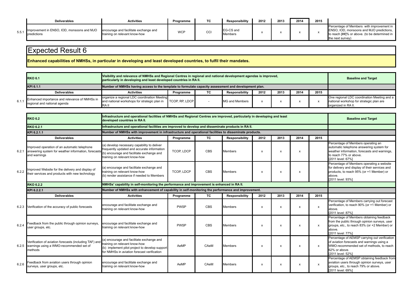|       | <b>Deliverables</b>                                       | <b>Activities</b>                                                      | Programme  | ТC           | <b>Responsibility</b> | 2012 | 2013 | 2014 | 2015 |                                                                                                                                                            |
|-------|-----------------------------------------------------------|------------------------------------------------------------------------|------------|--------------|-----------------------|------|------|------|------|------------------------------------------------------------------------------------------------------------------------------------------------------------|
| 5.5.1 | Improvement in ENSO, IOD, monsoons and MJO<br>predictions | encourage and facilitate exchange and<br>training on relevant know-how | <b>WCP</b> | $\sim$<br>◡◡ | EG-CS and<br>Members  |      |      |      |      | Percentage of Members with improvement in<br>ENSO, IOD, monsoons and MJO predictions,<br>to reach [##]% or above. (to be determined in<br>the next survey) |

**Enhanced capabilities of NMHSs, in particular in developing and least developed countries, to fulfil their mandates.**

| Visibility and relevance of NMHSs and Regional Centres in regional and national development agendas is improved,<br><b>RKO 6.1</b><br>particularly in developing and least developed countries in RA II. |                                                                                                                      |           |    |                |      |      |      | <b>Baseline and Target</b> |                                                                                                                |
|----------------------------------------------------------------------------------------------------------------------------------------------------------------------------------------------------------|----------------------------------------------------------------------------------------------------------------------|-----------|----|----------------|------|------|------|----------------------------|----------------------------------------------------------------------------------------------------------------|
| Number of NMHSs having access to the template to formulate capacity assessment and development plan.<br>KPI 6.1.1                                                                                        |                                                                                                                      |           |    |                |      |      |      |                            |                                                                                                                |
| <b>Deliverables</b>                                                                                                                                                                                      | <b>Activities</b>                                                                                                    | Programme | ТC | Responsibility | 2012 | 2013 | 2014 | 2015                       |                                                                                                                |
| 6.1.1 Enhanced importance and relevance of NMHSs in<br>regional and national agenda                                                                                                                      | organize a regional LDC coordination Meeting<br>and national workshops for strategic plan in TCOP, RP, LDCP<br>RA II |           |    | MG and Members |      |      |      |                            | One regional LDC coordination Meeting and a<br>national workshop for strategic plan are<br>organized in RA II. |

|       | <b>RKO 6.2</b>                                                                                                      | developed countries in RA II.                                                                                                                                               | Infrastructure and operational facilities of NMHSs and Regional Centres are improved, particularly in developing and least |            |                       |      |                           |                           |                           |                                                                                                                                                                                                                              |  |
|-------|---------------------------------------------------------------------------------------------------------------------|-----------------------------------------------------------------------------------------------------------------------------------------------------------------------------|----------------------------------------------------------------------------------------------------------------------------|------------|-----------------------|------|---------------------------|---------------------------|---------------------------|------------------------------------------------------------------------------------------------------------------------------------------------------------------------------------------------------------------------------|--|
|       | <b>RKO 6.2.1</b>                                                                                                    | Infrastructure and operational facilities are improved to develop and disseminate products in RA II.                                                                        |                                                                                                                            |            |                       |      |                           |                           |                           |                                                                                                                                                                                                                              |  |
|       | KPI 6.2.1.1                                                                                                         | Number of NMHSs with improvement in infrastructure and operational facilities to disseminate products.                                                                      |                                                                                                                            |            |                       |      |                           |                           |                           |                                                                                                                                                                                                                              |  |
|       | <b>Deliverables</b>                                                                                                 | <b>Activities</b>                                                                                                                                                           | Programme                                                                                                                  | <b>TC</b>  | <b>Responsibility</b> | 2012 | 2013                      | 2014                      | 2015                      |                                                                                                                                                                                                                              |  |
| 6.2.1 | Improved operation of an automatic telephone<br>answering system for weather information, forecasts<br>and warnings | (a) develop necessary capability to deliver<br>frequently updated and accurate information<br>(b) encourage and facilitate exchange and<br>training on relevant know-how    | <b>TCOP, LDCP</b>                                                                                                          | <b>CBS</b> | <b>Members</b>        | X    | $\boldsymbol{\mathsf{x}}$ | X                         |                           | Percentage of Members operating an<br>automatic telephone answering system for<br>weather information, forecasts and warnings,<br>to reach 77% or above.<br>[2011 level: 67%]                                                |  |
| 6.2.2 | mproved Website for the delivery and display of<br>their services and products with new technology                  | (a) encourage and facilitate exchange and<br>training on relevant know-how<br>(b) render assistance if needed to Members                                                    | <b>TCOP, LDCP</b>                                                                                                          | <b>CBS</b> | Members               | X    | $\boldsymbol{\mathsf{x}}$ | x                         |                           | Percentage of Members operating a website<br>for delivery and display of their services and<br>products, to reach 95% (or +1 Member) or<br>above.<br>[2011 level: 93%]                                                       |  |
|       | <b>RKO 6.2.2</b>                                                                                                    |                                                                                                                                                                             | NMHSs' capability in self-monitoring the performance and improvement is enhanced in RA II.                                 |            |                       |      |                           |                           |                           |                                                                                                                                                                                                                              |  |
|       | KPI 6.2.2.1                                                                                                         |                                                                                                                                                                             | Number of NMHSs with enhancement of capability in self-monitoring the performance and improvement.                         |            |                       |      |                           |                           |                           |                                                                                                                                                                                                                              |  |
|       | <b>Deliverables</b>                                                                                                 | <b>Activities</b>                                                                                                                                                           | Programme                                                                                                                  | <b>TC</b>  | <b>Responsibility</b> | 2012 | 2013                      | 2014                      | 2015                      |                                                                                                                                                                                                                              |  |
|       | 6.2.3 Verification of the accuracy of public forecasts                                                              | encourage and facilitate exchange and<br>training on relevant know-how                                                                                                      | <b>PWSP</b>                                                                                                                | <b>CBS</b> | <b>Members</b>        | X    | $\boldsymbol{\mathsf{x}}$ | X                         | $\boldsymbol{\mathsf{x}}$ | Percentage of Members carrying out forecast<br>verification, to reach 90% (or +1 Member) or<br>above.                                                                                                                        |  |
|       |                                                                                                                     |                                                                                                                                                                             |                                                                                                                            |            |                       |      |                           |                           |                           | [2011 level: 87%]                                                                                                                                                                                                            |  |
| 6.2.4 | Feedback from the public through opinion surveys,<br>user groups, etc.                                              | encourage and facilitate exchange and<br>training on relevant know-how                                                                                                      | <b>PWSP</b>                                                                                                                | <b>CBS</b> | <b>Members</b>        | X    | $\boldsymbol{\mathsf{x}}$ | X                         | $\mathsf{x}$              | Percentage of Members obtaining feedback<br>from the public through opinion surveys, user<br>groups, etc., to reach 83% (or +2 Member) or<br>above.<br>[2011 level: 77%]                                                     |  |
|       | Verification of aviation forecasts (including TAF) and<br>6.2.5 warnings using a WMO-recommended set of<br>methods  | (a) encourage and facilitate exchange and<br>training on relevant know-how<br>(b) implement pilot project to develop support<br>for NMHSs in aviation forecast verification | AeMP                                                                                                                       | CAeM       | <b>Members</b>        | X    | $\boldsymbol{\mathsf{x}}$ | $\boldsymbol{\mathsf{x}}$ | $\boldsymbol{\mathsf{x}}$ | Percentage of AEMSP carrying out verification<br>of aviation forecasts and warnings using a<br>WMO-recommended set of methods, to reach<br>62% or above.<br>[2011 level: 52%]<br>Percentage of AEMSP obtaining feedback from |  |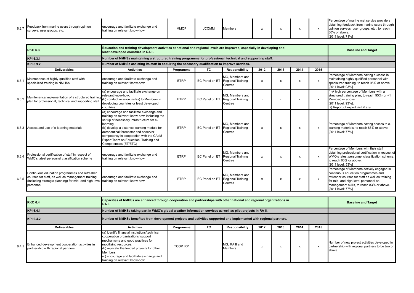| 6.2.7 | Feedback from marine users through opinion<br>surveys, user groups, etc.                                                                                                                                | encourage and facilitate exchange and<br>training on relevant know-how                                                                                                                                                                                                                                                                                  | <b>MMOP</b> | <b>JCOMM</b>   | <b>Members</b>                                         | $\boldsymbol{\mathsf{x}}$ | X            | $\boldsymbol{\mathsf{x}}$ | $\mathsf{x}$ | Percentage of marine met service providers<br>obtaining feedback from marine users through<br>opinion surveys, user groups, etc., to reach<br>80% or above.<br>[2011 level: 71%]                                                              |
|-------|---------------------------------------------------------------------------------------------------------------------------------------------------------------------------------------------------------|---------------------------------------------------------------------------------------------------------------------------------------------------------------------------------------------------------------------------------------------------------------------------------------------------------------------------------------------------------|-------------|----------------|--------------------------------------------------------|---------------------------|--------------|---------------------------|--------------|-----------------------------------------------------------------------------------------------------------------------------------------------------------------------------------------------------------------------------------------------|
|       |                                                                                                                                                                                                         |                                                                                                                                                                                                                                                                                                                                                         |             |                |                                                        |                           |              |                           |              |                                                                                                                                                                                                                                               |
|       | <b>RKO 6.3</b>                                                                                                                                                                                          | Education and training development activities at national and regional levels are improved, especially in developing and<br>least developed countries in RA II.                                                                                                                                                                                         |             |                |                                                        |                           |              |                           |              | <b>Baseline and Target</b>                                                                                                                                                                                                                    |
|       | KPI 6.3.1                                                                                                                                                                                               | Number of NMHSs maintaining a structured training programme for professional, technical and supporting staff.                                                                                                                                                                                                                                           |             |                |                                                        |                           |              |                           |              |                                                                                                                                                                                                                                               |
|       | KPI 6.3.2                                                                                                                                                                                               | Number of NMHSs assisting its staff in acquiring the necessary qualification to improve services.                                                                                                                                                                                                                                                       |             |                |                                                        |                           |              |                           |              |                                                                                                                                                                                                                                               |
|       | <b>Deliverables</b>                                                                                                                                                                                     | <b>Activities</b>                                                                                                                                                                                                                                                                                                                                       | Programme   | TC             | Responsibility                                         | 2012                      | 2013         | 2014                      | 2015         |                                                                                                                                                                                                                                               |
| 6.3.1 | Maintenance of highly-qualified staff with<br>specialized training in NMHSs                                                                                                                             | encourage and facilitate exchange and<br>training on relevant know-how                                                                                                                                                                                                                                                                                  | <b>ETRP</b> | EC Panel on ET | MG. Members and<br><b>Regional Training</b><br>Centres | $\mathsf{x}$              | $\mathsf{x}$ | $\mathsf{x}$              | $\mathsf{x}$ | Percentage of Members having success in<br>maintaining highly qualified personnel with<br>specialized training, to reach 95% or above.<br>[2011 level: 93%]                                                                                   |
| 6.3.2 | Maintenance/implementation of a structured training<br>plan for professional, technical and supporting staff                                                                                            | (a) encourage and facilitate exchange on<br>relevant know-how:<br>b) conduct mission visit(s) to Members in<br>developing countries or least developed<br>countries                                                                                                                                                                                     | <b>ETRP</b> | EC Panel on ET | MG. Members and<br>Regional Training<br>Centres        | $\mathsf{x}$              | X            | $\mathsf{x}$              | $\mathsf{x}$ | (i) A high percentage of Members with a<br>structured training plan, to reach 95% (or +1<br>Member) or above.<br>[2011 level: 93%];<br>(ii) Report of expert visit if any.                                                                    |
|       | 6.3.3 Access and use of e-learning materials                                                                                                                                                            | (a) encourage and facilitate exchange and<br>training on relevant know-how, including the<br>set up of necessary infrastructure for e-<br>learning:<br>(b) develop a distance learning module for<br>aeronautical forecaster and observer<br>competency in cooperation with the CAeM<br>Expert Team on Education, Training and<br>Competencies (ET/ETC) | <b>ETRP</b> | EC Panel on ET | MG. Members and<br><b>Regional Training</b><br>Centres | $\mathsf{x}$              | x            | x                         | $\mathsf{x}$ | Percentage of Members having access to e-<br>learning materials, to reach 83% or above.<br>[2011 level: 77%]                                                                                                                                  |
| 6.3.4 | Professional certification of staff in respect of<br>WMO's latest personnel classification scheme                                                                                                       | encourage and facilitate exchange and<br>training on relevant know-how                                                                                                                                                                                                                                                                                  | <b>ETRP</b> | EC Panel on ET | MG, Members and<br><b>Regional Training</b><br>Centres | $\boldsymbol{\mathsf{x}}$ | X            | X                         | $\mathsf{x}$ | Percentage of Members with their staff<br>obtaining professional certification in respect of<br>WMO's latest personnel classification scheme,<br>to reach 63% or above.<br>[2011 level: 53%]                                                  |
| 6.3.5 | Continuous education programmes and refresher<br>courses for staff, as well as management training<br>(including strategic planning) for mid- and high-level training on relevant know-how<br>personnel | encourage and facilitate exchange and                                                                                                                                                                                                                                                                                                                   | <b>ETRP</b> | EC Panel on ET | MG. Members and<br><b>Regional Training</b><br>Centres | $\mathsf{x}$              | $\mathsf{x}$ | x                         | $\mathsf{x}$ | Percentage of Members actively engaged in<br>continuous education programmes and<br>refresher courses for staff as well as training<br>for mid- and high-level personnel on<br>management skills, to reach 83% or above.<br>[2011 level: 77%] |

|       | Capacities of NMHSs are enhanced through cooperation and partnerships with other national and regional organizations in<br><b>RKO 6.4</b><br>RA II. |                                                                                                                                                                                                                                                                                            |           |     |                          |      |      |      |      | <b>Baseline and Target</b>                                                                                 |
|-------|-----------------------------------------------------------------------------------------------------------------------------------------------------|--------------------------------------------------------------------------------------------------------------------------------------------------------------------------------------------------------------------------------------------------------------------------------------------|-----------|-----|--------------------------|------|------|------|------|------------------------------------------------------------------------------------------------------------|
|       | KPI 6.4.1                                                                                                                                           | Number of NMHSs taking part in WMO's global weather information services as well as pilot projects in RA II.                                                                                                                                                                               |           |     |                          |      |      |      |      |                                                                                                            |
|       | KPI 6.4.2                                                                                                                                           | Number of NMHSs benefited from development projects and activities supported and implemented with regional partners.                                                                                                                                                                       |           |     |                          |      |      |      |      |                                                                                                            |
|       | <b>Deliverables</b>                                                                                                                                 | <b>Activities</b>                                                                                                                                                                                                                                                                          | Programme | TC. | Responsibility           | 2012 | 2013 | 2014 | 2015 |                                                                                                            |
| 6.4.1 | Enhanced development cooperation activities in<br>partnership with regional partners                                                                | (a) identify financial institutions/technical<br>cooperation organizations' support<br>mechanisms and good practices for<br>mobilizing resources;<br>(b) replicate the funded projects for other<br>Members;<br>(c) encourage and facilitate exchange and<br>training on relevant know-how | TCOP. RP  |     | MG. RA II and<br>Members |      |      |      |      | Number of new project activities developed in<br>partnership with regional partners to be two or<br>above. |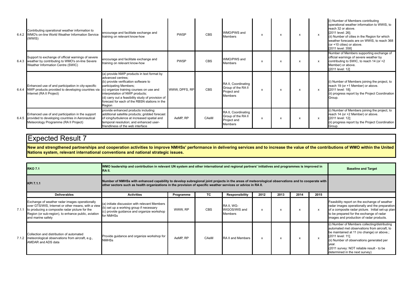| Contributing operational weather information to<br>6.4.2 WMO's on-line World Weather Information Service<br>(WWIS)                                  | encourage and facilitate exchange and<br>training on relevant know-how                                                                                                                                                                                                                                                           | <b>PWSP</b>   | <b>CBS</b> | WMO/PWS and<br><b>Members</b>                                              | x | x                         | x | $\mathsf{x}$              | (i) Number of Members contributing<br>operational weather information to WWIS, to<br>reach 32 or above.<br>[2011 level: 26];<br>(ii) Number of cities in the Region for which<br>weather forecasts are on WWIS, to reach 368<br>(or +10 cities) or above.<br>[2011 level: 358] |
|-----------------------------------------------------------------------------------------------------------------------------------------------------|----------------------------------------------------------------------------------------------------------------------------------------------------------------------------------------------------------------------------------------------------------------------------------------------------------------------------------|---------------|------------|----------------------------------------------------------------------------|---|---------------------------|---|---------------------------|--------------------------------------------------------------------------------------------------------------------------------------------------------------------------------------------------------------------------------------------------------------------------------|
| Support to exchange of official warnings of severe<br>6.4.3 weather by contributing to WMO's on-line Severe<br>Weather Information Centre (SWIC)    | encourage and facilitate exchange and<br>training on relevant know-how                                                                                                                                                                                                                                                           | <b>PWSP</b>   | <b>CBS</b> | WMO/PWS and<br><b>Members</b>                                              | x | X                         |   |                           | Number of Members supporting exchange of<br>official warnings of severe weather by<br>contributing to SWIC, to reach 14 (or +2<br>Member) or above.<br>[2011 level: 12]                                                                                                        |
| Enhanced use of and participation in city-specific<br>6.4.4 NWP products provided to developing countries via<br>Internet (RA II Project)           | (a) provide NWP products in text format by<br>advanced centres:<br>(b) provide verification software to<br>participating Members;<br>(c) organize training courses on use and<br>interpretation of NWP products;<br>(d) carry out a feasibility study of provision of<br>forecast for each of the RBSN stations in the<br>Region | WWW. DPFS. RP | CBS        | RA II, Coordinating<br>Group of the RA II<br>Project and<br><b>Members</b> | x | $\boldsymbol{\mathsf{x}}$ | x | $\boldsymbol{\mathsf{x}}$ | (i) Number of Members joining the project, to<br>reach 19 (or +1 Member) or above.<br>[2011 level: 18];<br>(ii) progress report by the Project Coordination<br>Group.                                                                                                          |
| Enhanced use of and participation in the support<br>6.4.5 provided to developing countries in Aeronautical<br>Meteorology Programme (RA II Project) | provide enhanced products including:<br>additional satellite products; gridded forecast<br>of icing/turbulence at increased spatial and<br>temporal resolution; and enhanced user-<br>friendliness of the web interface                                                                                                          | AeMP, RP      | CAeM       | RA II, Coordinating<br>Group of the RA II<br>Project and<br>Members        | x | $\boldsymbol{\mathsf{x}}$ | x | $\boldsymbol{\mathsf{x}}$ | (i) Number of Members joining the project, to<br>reach 14 (or +2 Member) or above.<br>[2011 level: 12];<br>(ii) progress report by the Project Coordination<br>Group.                                                                                                          |

**New and strengthened partnerships and cooperation activities to improve NMHSs' performance in delivering services and to increase the value of the contributions of WMO within the United Nations system, relevant international conventions and national strategic issues.**

| <b>RKO 7.1</b>                                                                                                                                                                                                                           | IRA II.                                                                                                                                                                                                                                                          | WMO leadership and contribution in relevant UN system and other international and regional partners' initiatives and programmes is improved in |            |                                        |      |      |      |      |                                                                                                                                                                                                                                                                                                      |  |  |  |
|------------------------------------------------------------------------------------------------------------------------------------------------------------------------------------------------------------------------------------------|------------------------------------------------------------------------------------------------------------------------------------------------------------------------------------------------------------------------------------------------------------------|------------------------------------------------------------------------------------------------------------------------------------------------|------------|----------------------------------------|------|------|------|------|------------------------------------------------------------------------------------------------------------------------------------------------------------------------------------------------------------------------------------------------------------------------------------------------------|--|--|--|
| KPI 7.1.1                                                                                                                                                                                                                                | Number of NMHSs with enhanced capability to develop subregional joint projects in the areas of meteorological observations and to cooperate with<br>other sectors such as health organizations in the provision of specific weather services or advice in RA II. |                                                                                                                                                |            |                                        |      |      |      |      |                                                                                                                                                                                                                                                                                                      |  |  |  |
| <b>Deliverables</b>                                                                                                                                                                                                                      | <b>Activities</b>                                                                                                                                                                                                                                                | Programme                                                                                                                                      | ТC         | Responsibility                         | 2012 | 2013 | 2014 | 2015 |                                                                                                                                                                                                                                                                                                      |  |  |  |
| Exchange of weather radar images operationally<br>over GTS/WIS, Internet or other means, with a view<br>7.1.1 to producing a composite radar picture for the<br>Region (or sub-region), to enhance public, aviation<br>and marine safety | (a) initiate discussion with relevant Members<br>(b) set up a working group if necessary<br>(c) provide guidance and organize workshop<br>for NMHSs                                                                                                              | WWW, RP                                                                                                                                        | <b>CBS</b> | RA II, WG-<br>WIGOS/WIS and<br>Members | X    | x    |      |      | Feasibility report on the exchange of weather<br>radar images operationally and the preparation<br>of a composite radar picture. Initial set-up plan<br>to be prepared for the exchange of radar<br>images and production of radar products.                                                         |  |  |  |
| Collection and distribution of automated<br>7.1.2 meteorological observations from aircraft, e.g.,<br>AMDAR and ADS data                                                                                                                 | Provide guidance and organize workshop for<br><b>NMHSs</b>                                                                                                                                                                                                       | AeMP. RP                                                                                                                                       | CAeM       | RA II and Members                      | X    | X    |      |      | (i) Number of Members collecting/distributing<br>automated met observations from aircraft, to<br>be maintained at 11 (no change) or above.;<br>[2011 level: 11];<br>(ii) Number of observations generated per<br>vear<br>(2011 survey: NOT reliable result - to be<br>determined in the next survey) |  |  |  |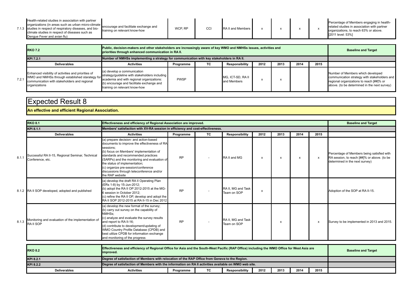| Health-related studies in association with partner<br>lorganizations (in areas such as urban micro-climate encourage and facilitate exchange and<br>7.1.3 studies in respect of respiratory diseases, and bio-<br>training on relevant know-how<br>climate studies in respect of diseases such as<br>Dengue Fever and avian flu) | <b>WCP. RF</b> | CC | RA II and Members |  |  |  |  | Percentage of Members engaging in health-<br>related studies in association with partner<br>organizations, to reach 63% or above.<br>[2011 level: 53%] |
|----------------------------------------------------------------------------------------------------------------------------------------------------------------------------------------------------------------------------------------------------------------------------------------------------------------------------------|----------------|----|-------------------|--|--|--|--|--------------------------------------------------------------------------------------------------------------------------------------------------------|
|----------------------------------------------------------------------------------------------------------------------------------------------------------------------------------------------------------------------------------------------------------------------------------------------------------------------------------|----------------|----|-------------------|--|--|--|--|--------------------------------------------------------------------------------------------------------------------------------------------------------|

| Public, decision-makers and other stakeholders are increasingly aware of key WMO and NMHSs issues, activities and<br><b>RKO 7.2</b><br>priorities through enhanced communication in RA II.                                                                                                                             |                                                                                                           |             |    |                                 |      | <b>Baseline and Target</b> |      |      |                                                                                                                                                                               |
|------------------------------------------------------------------------------------------------------------------------------------------------------------------------------------------------------------------------------------------------------------------------------------------------------------------------|-----------------------------------------------------------------------------------------------------------|-------------|----|---------------------------------|------|----------------------------|------|------|-------------------------------------------------------------------------------------------------------------------------------------------------------------------------------|
| KPI 7.2.1                                                                                                                                                                                                                                                                                                              | Number of NMHSs implementing a strategy for communication with key stakeholders in RA II.                 |             |    |                                 |      |                            |      |      |                                                                                                                                                                               |
| <b>Deliverables</b>                                                                                                                                                                                                                                                                                                    | <b>Activities</b>                                                                                         | Programme   | TC | Responsibility                  | 2012 | 2013                       | 2014 | 2015 |                                                                                                                                                                               |
| Enhanced visibility of activities and priorities of<br>Enhanced visibility of activities and promises of<br>WMO and NMHSS through established starategy for<br>7.2.1 example in the state of the stars and the stars and with regional organizations:<br>communication with stakeholders and regional<br>organizations | (a) develop a communication<br>(b) encourage and facilitate exchange and<br>training on relevant know-how | <b>PWSP</b> |    | MG, ICT-SD, RAII<br>and Members |      |                            |      |      | Number of Members which developed<br>communication strategy with stakeholders and<br>regional organizations to reach [##]% or<br>above. (to be determined in the next survey) |

#### **An effective and efficient Regional Association.**

|       | <b>RKO 8.1</b><br>Effectiveness and efficiency of Regional Association are improved. |                                                                                                                                                                                                                                                                                                                                                                               |           |    |                                   |                           |      | <b>Baseline and Target</b> |              |                                                                                                                             |
|-------|--------------------------------------------------------------------------------------|-------------------------------------------------------------------------------------------------------------------------------------------------------------------------------------------------------------------------------------------------------------------------------------------------------------------------------------------------------------------------------|-----------|----|-----------------------------------|---------------------------|------|----------------------------|--------------|-----------------------------------------------------------------------------------------------------------------------------|
|       | KPI 8.1.1                                                                            | Members' satisfaction with XV-RA session in efficiency and cost-effectiveness.                                                                                                                                                                                                                                                                                                |           |    |                                   |                           |      |                            |              |                                                                                                                             |
|       | <b>Deliverables</b>                                                                  | <b>Activities</b>                                                                                                                                                                                                                                                                                                                                                             | Programme | TC | Responsibility                    | 2012                      | 2013 | 2014                       | 2015         |                                                                                                                             |
| 8.1.1 | Successful RA II-15, Regional Seminar, Technical<br>Conference, etc.                 | (a) prepare decision- and action-based<br>documents to improve the effectiveness of RA<br>sessions;<br>(b) focus on Members' implementation of<br>standards and recommended practices<br>(SARPs) and the monitoring and evaluation of<br>the status of implementation;<br>(c) organize pre-session/conference<br>discussions through teleconference and/or<br>the RAP website | <b>RP</b> |    | RA II and MG                      | X                         |      | X                          | $\mathsf{x}$ | Percentage of Members being satisfied with<br>RA session, to reach [##]% or above. (to be<br>determined in the next survey) |
|       | 8.1.2 RA II SOP developed, adopted and published                                     | (a) develop the draft RA II Operating Plan<br>ERs 1-8) by 15-Jun-2012;<br>(b) adopt the RA II OP 2012-2015 at the MG-<br>6 session in October 2012:<br>(c) refine the RA II OP, develop and adopt the<br>RA II SOP 2012-2015 at RA II-15 in Dec 2012                                                                                                                          | <b>RP</b> |    | RA II. MG and Task<br>Team on SOP | $\boldsymbol{\mathsf{x}}$ |      |                            |              | Adoption of the SOP at RA II-15.                                                                                            |
| 8.1.3 | Monitoring and evaluation of the implementation of<br><b>RAILSOP</b>                 | (a) develop the new format of the survey;<br>(b) carry out survey on the capability of<br>NMHSs:<br>(c) analyze and evaluate the survey results<br>and report to RA II-16;<br>(d) contribute to development/updating of<br>WMO Country Profile Database (CPDB) and<br>best utilize CPDB for information exchange<br>and monitoring of the progress                            | <b>RP</b> |    | RA II. MG and Task<br>Team on SOP |                           |      |                            | X            | Survey to be implemented in 2013 and 2015.                                                                                  |
|       | <b>RKO82</b>                                                                         | Effectiveness and efficiency of Regional Office for Asia and the South-West Pacific (RAP Office) including the WMO Office for West Asia are                                                                                                                                                                                                                                   |           |    |                                   |                           |      |                            |              | <b>Rasoling and Target</b>                                                                                                  |

| <b>RKO 8.2</b>      | Effectiveness and efficiency of Regional Office for Asia and the South-West Pacific (RAP Office) including the WMO Office for West Asia are<br>improved. | <b>Baseline and Target</b> |    |                       |      |      |      |      |  |
|---------------------|----------------------------------------------------------------------------------------------------------------------------------------------------------|----------------------------|----|-----------------------|------|------|------|------|--|
| KPI 8.2.1           | Degree of satisfaction of Members with relocation of the RAP Office from Geneva to the Region.                                                           |                            |    |                       |      |      |      |      |  |
| KPI 8.2.2           | Degree of satisfaction of Members with the information on RA II activities available on WMO web site.                                                    |                            |    |                       |      |      |      |      |  |
| <b>Deliverables</b> | Activities                                                                                                                                               | Programme                  | тс | <b>Responsibility</b> | 2012 | 2013 | 2014 | 2015 |  |